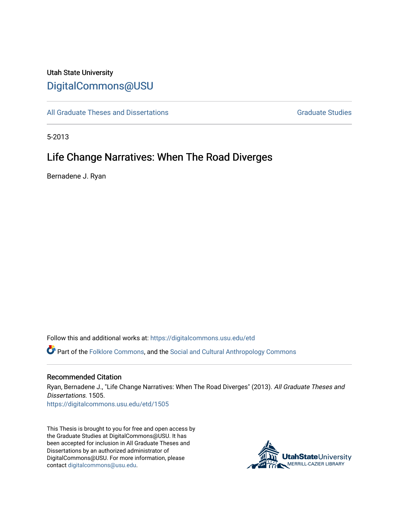# Utah State University [DigitalCommons@USU](https://digitalcommons.usu.edu/)

[All Graduate Theses and Dissertations](https://digitalcommons.usu.edu/etd) [Graduate Studies](https://digitalcommons.usu.edu/gradstudies) Graduate Studies

5-2013

# Life Change Narratives: When The Road Diverges

Bernadene J. Ryan

Follow this and additional works at: [https://digitalcommons.usu.edu/etd](https://digitalcommons.usu.edu/etd?utm_source=digitalcommons.usu.edu%2Fetd%2F1505&utm_medium=PDF&utm_campaign=PDFCoverPages) 

Part of the [Folklore Commons](http://network.bepress.com/hgg/discipline/321?utm_source=digitalcommons.usu.edu%2Fetd%2F1505&utm_medium=PDF&utm_campaign=PDFCoverPages), and the [Social and Cultural Anthropology Commons](http://network.bepress.com/hgg/discipline/323?utm_source=digitalcommons.usu.edu%2Fetd%2F1505&utm_medium=PDF&utm_campaign=PDFCoverPages) 

#### Recommended Citation

Ryan, Bernadene J., "Life Change Narratives: When The Road Diverges" (2013). All Graduate Theses and Dissertations. 1505.

[https://digitalcommons.usu.edu/etd/1505](https://digitalcommons.usu.edu/etd/1505?utm_source=digitalcommons.usu.edu%2Fetd%2F1505&utm_medium=PDF&utm_campaign=PDFCoverPages)

This Thesis is brought to you for free and open access by the Graduate Studies at DigitalCommons@USU. It has been accepted for inclusion in All Graduate Theses and Dissertations by an authorized administrator of DigitalCommons@USU. For more information, please contact [digitalcommons@usu.edu](mailto:digitalcommons@usu.edu).

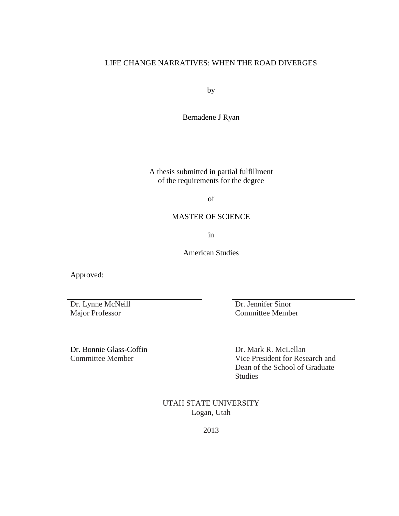# LIFE CHANGE NARRATIVES: WHEN THE ROAD DIVERGES

by

Bernadene J Ryan

A thesis submitted in partial fulfillment of the requirements for the degree

of

# MASTER OF SCIENCE

in

American Studies

Approved:

Dr. Lynne McNeill Major Professor

Dr. Jennifer Sinor Committee Member

Dr. Bonnie Glass-Coffin Committee Member

Dr. Mark R. McLellan Vice President for Research and Dean of the School of Graduate Studies

UTAH STATE UNIVERSITY Logan, Utah

2013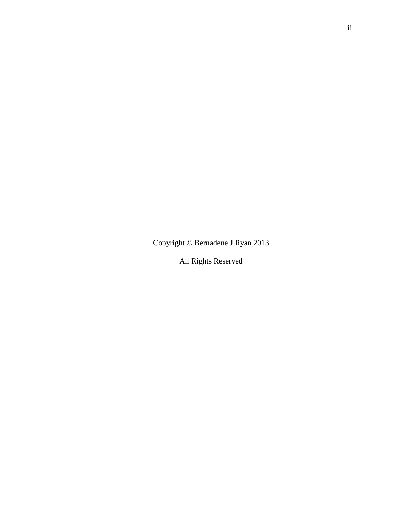Copyright © Bernadene J Ryan 2013

All Rights Reserved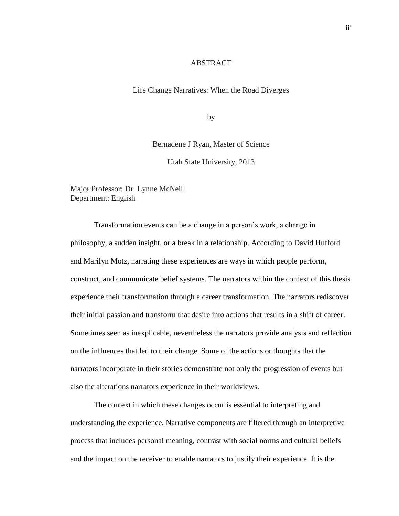#### ABSTRACT

Life Change Narratives: When the Road Diverges

by

Bernadene J Ryan, Master of Science

Utah State University, 2013

Major Professor: Dr. Lynne McNeill Department: English

Transformation events can be a change in a person's work, a change in philosophy, a sudden insight, or a break in a relationship. According to David Hufford and Marilyn Motz, narrating these experiences are ways in which people perform, construct, and communicate belief systems. The narrators within the context of this thesis experience their transformation through a career transformation. The narrators rediscover their initial passion and transform that desire into actions that results in a shift of career. Sometimes seen as inexplicable, nevertheless the narrators provide analysis and reflection on the influences that led to their change. Some of the actions or thoughts that the narrators incorporate in their stories demonstrate not only the progression of events but also the alterations narrators experience in their worldviews.

The context in which these changes occur is essential to interpreting and understanding the experience. Narrative components are filtered through an interpretive process that includes personal meaning, contrast with social norms and cultural beliefs and the impact on the receiver to enable narrators to justify their experience. It is the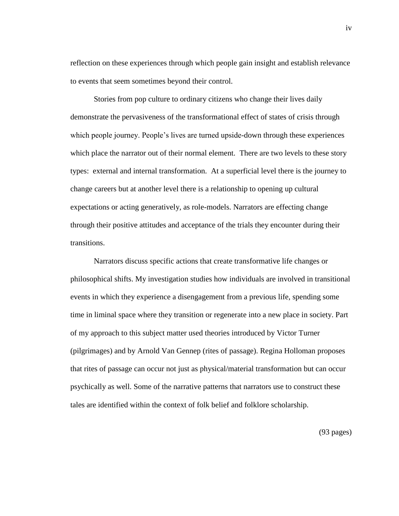reflection on these experiences through which people gain insight and establish relevance to events that seem sometimes beyond their control.

Stories from pop culture to ordinary citizens who change their lives daily demonstrate the pervasiveness of the transformational effect of states of crisis through which people journey. People's lives are turned upside-down through these experiences which place the narrator out of their normal element. There are two levels to these story types: external and internal transformation. At a superficial level there is the journey to change careers but at another level there is a relationship to opening up cultural expectations or acting generatively, as role-models. Narrators are effecting change through their positive attitudes and acceptance of the trials they encounter during their transitions.

Narrators discuss specific actions that create transformative life changes or philosophical shifts. My investigation studies how individuals are involved in transitional events in which they experience a disengagement from a previous life, spending some time in liminal space where they transition or regenerate into a new place in society. Part of my approach to this subject matter used theories introduced by Victor Turner (pilgrimages) and by Arnold Van Gennep (rites of passage). Regina Holloman proposes that rites of passage can occur not just as physical/material transformation but can occur psychically as well. Some of the narrative patterns that narrators use to construct these tales are identified within the context of folk belief and folklore scholarship.

(93 pages)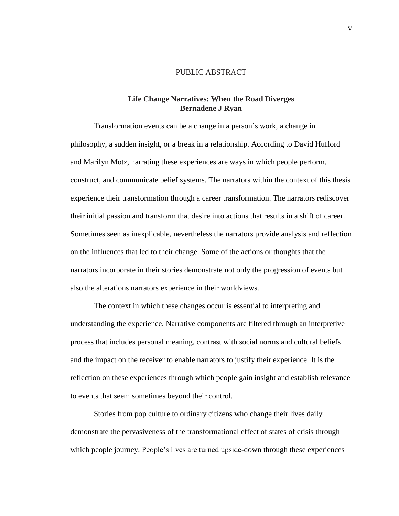## PUBLIC ABSTRACT

## **Life Change Narratives: When the Road Diverges Bernadene J Ryan**

Transformation events can be a change in a person's work, a change in philosophy, a sudden insight, or a break in a relationship. According to David Hufford and Marilyn Motz, narrating these experiences are ways in which people perform, construct, and communicate belief systems. The narrators within the context of this thesis experience their transformation through a career transformation. The narrators rediscover their initial passion and transform that desire into actions that results in a shift of career. Sometimes seen as inexplicable, nevertheless the narrators provide analysis and reflection on the influences that led to their change. Some of the actions or thoughts that the narrators incorporate in their stories demonstrate not only the progression of events but also the alterations narrators experience in their worldviews.

The context in which these changes occur is essential to interpreting and understanding the experience. Narrative components are filtered through an interpretive process that includes personal meaning, contrast with social norms and cultural beliefs and the impact on the receiver to enable narrators to justify their experience. It is the reflection on these experiences through which people gain insight and establish relevance to events that seem sometimes beyond their control.

Stories from pop culture to ordinary citizens who change their lives daily demonstrate the pervasiveness of the transformational effect of states of crisis through which people journey. People's lives are turned upside-down through these experiences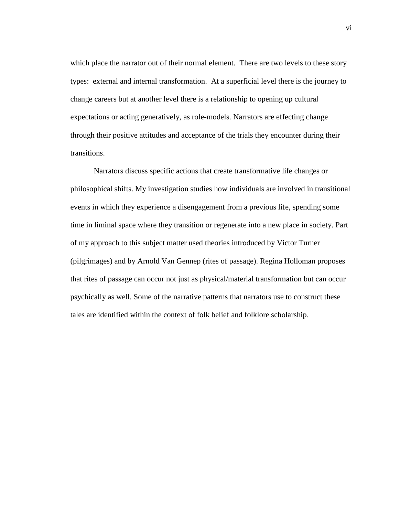which place the narrator out of their normal element. There are two levels to these story types: external and internal transformation. At a superficial level there is the journey to change careers but at another level there is a relationship to opening up cultural expectations or acting generatively, as role-models. Narrators are effecting change through their positive attitudes and acceptance of the trials they encounter during their transitions.

Narrators discuss specific actions that create transformative life changes or philosophical shifts. My investigation studies how individuals are involved in transitional events in which they experience a disengagement from a previous life, spending some time in liminal space where they transition or regenerate into a new place in society. Part of my approach to this subject matter used theories introduced by Victor Turner (pilgrimages) and by Arnold Van Gennep (rites of passage). Regina Holloman proposes that rites of passage can occur not just as physical/material transformation but can occur psychically as well. Some of the narrative patterns that narrators use to construct these tales are identified within the context of folk belief and folklore scholarship.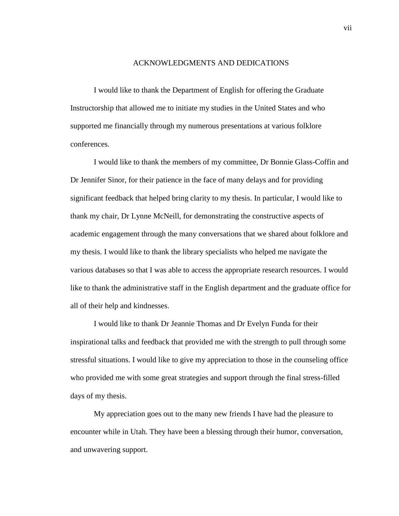#### ACKNOWLEDGMENTS AND DEDICATIONS

I would like to thank the Department of English for offering the Graduate Instructorship that allowed me to initiate my studies in the United States and who supported me financially through my numerous presentations at various folklore conferences.

I would like to thank the members of my committee, Dr Bonnie Glass-Coffin and Dr Jennifer Sinor, for their patience in the face of many delays and for providing significant feedback that helped bring clarity to my thesis. In particular, I would like to thank my chair, Dr Lynne McNeill, for demonstrating the constructive aspects of academic engagement through the many conversations that we shared about folklore and my thesis. I would like to thank the library specialists who helped me navigate the various databases so that I was able to access the appropriate research resources. I would like to thank the administrative staff in the English department and the graduate office for all of their help and kindnesses.

I would like to thank Dr Jeannie Thomas and Dr Evelyn Funda for their inspirational talks and feedback that provided me with the strength to pull through some stressful situations. I would like to give my appreciation to those in the counseling office who provided me with some great strategies and support through the final stress-filled days of my thesis.

My appreciation goes out to the many new friends I have had the pleasure to encounter while in Utah. They have been a blessing through their humor, conversation, and unwavering support.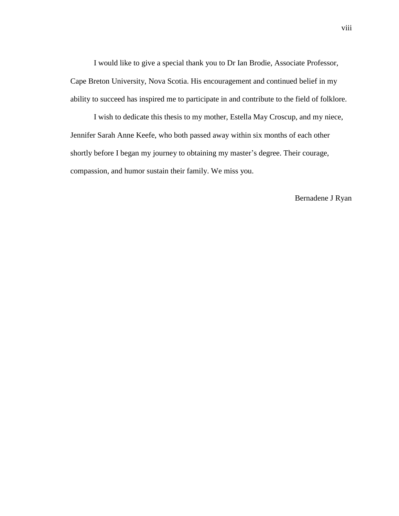I would like to give a special thank you to Dr Ian Brodie, Associate Professor, Cape Breton University, Nova Scotia. His encouragement and continued belief in my ability to succeed has inspired me to participate in and contribute to the field of folklore.

I wish to dedicate this thesis to my mother, Estella May Croscup, and my niece, Jennifer Sarah Anne Keefe, who both passed away within six months of each other shortly before I began my journey to obtaining my master's degree. Their courage, compassion, and humor sustain their family. We miss you.

#### Bernadene J Ryan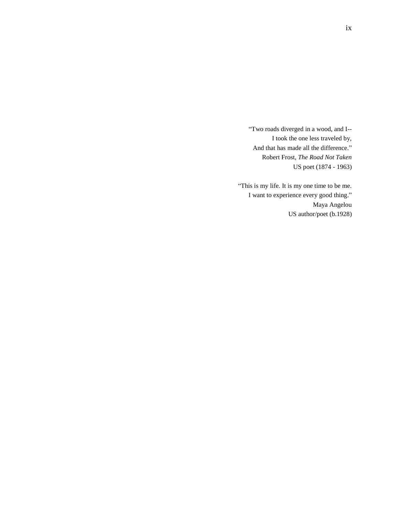"Two roads diverged in a wood, and I-- I took the one less traveled by, And that has made all the difference." Robert Frost, *The Road Not Taken* US poet (1874 - 1963)

"This is my life. It is my one time to be me. I want to experience every good thing." Maya Angelou US author/poet (b.1928)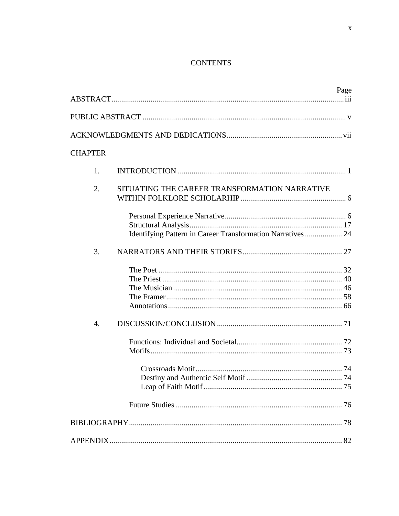# **CONTENTS**

|                  |                                                             | Page |
|------------------|-------------------------------------------------------------|------|
|                  |                                                             |      |
|                  |                                                             |      |
| <b>CHAPTER</b>   |                                                             |      |
| 1.               |                                                             |      |
| 2.               | SITUATING THE CAREER TRANSFORMATION NARRATIVE               |      |
|                  | Identifying Pattern in Career Transformation Narratives  24 |      |
| 3.               |                                                             |      |
|                  |                                                             |      |
| $\overline{4}$ . |                                                             |      |
|                  |                                                             |      |
|                  |                                                             |      |
|                  |                                                             |      |
|                  |                                                             |      |
|                  |                                                             |      |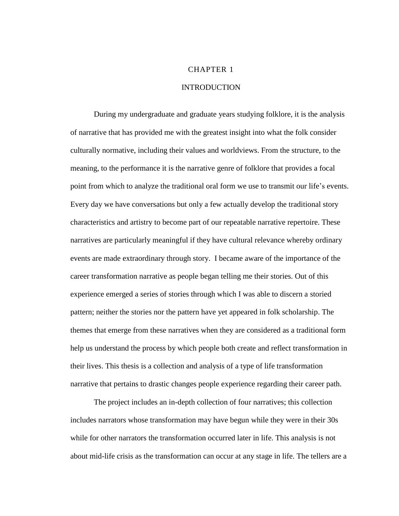#### CHAPTER 1

## **INTRODUCTION**

During my undergraduate and graduate years studying folklore, it is the analysis of narrative that has provided me with the greatest insight into what the folk consider culturally normative, including their values and worldviews. From the structure, to the meaning, to the performance it is the narrative genre of folklore that provides a focal point from which to analyze the traditional oral form we use to transmit our life's events. Every day we have conversations but only a few actually develop the traditional story characteristics and artistry to become part of our repeatable narrative repertoire. These narratives are particularly meaningful if they have cultural relevance whereby ordinary events are made extraordinary through story. I became aware of the importance of the career transformation narrative as people began telling me their stories. Out of this experience emerged a series of stories through which I was able to discern a storied pattern; neither the stories nor the pattern have yet appeared in folk scholarship. The themes that emerge from these narratives when they are considered as a traditional form help us understand the process by which people both create and reflect transformation in their lives. This thesis is a collection and analysis of a type of life transformation narrative that pertains to drastic changes people experience regarding their career path.

The project includes an in-depth collection of four narratives; this collection includes narrators whose transformation may have begun while they were in their 30s while for other narrators the transformation occurred later in life. This analysis is not about mid-life crisis as the transformation can occur at any stage in life. The tellers are a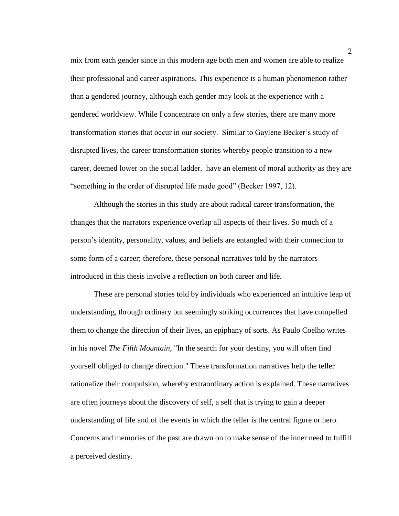mix from each gender since in this modern age both men and women are able to realize their professional and career aspirations. This experience is a human phenomenon rather than a gendered journey, although each gender may look at the experience with a gendered worldview. While I concentrate on only a few stories, there are many more transformation stories that occur in our society. Similar to Gaylene Becker's study of disrupted lives, the career transformation stories whereby people transition to a new career, deemed lower on the social ladder, have an element of moral authority as they are "something in the order of disrupted life made good" (Becker 1997, 12).

Although the stories in this study are about radical career transformation, the changes that the narrators experience overlap all aspects of their lives. So much of a person's identity, personality, values, and beliefs are entangled with their connection to some form of a career; therefore, these personal narratives told by the narrators introduced in this thesis involve a reflection on both career and life.

These are personal stories told by individuals who experienced an intuitive leap of understanding, through ordinary but seemingly striking occurrences that have compelled them to change the direction of their lives, an epiphany of sorts. As Paulo Coelho writes in his novel *The Fifth Mountain*, "In the search for your destiny, you will often find yourself obliged to change direction." These transformation narratives help the teller rationalize their compulsion, whereby extraordinary action is explained. These narratives are often journeys about the discovery of self, a self that is trying to gain a deeper understanding of life and of the events in which the teller is the central figure or hero. Concerns and memories of the past are drawn on to make sense of the inner need to fulfill a perceived destiny.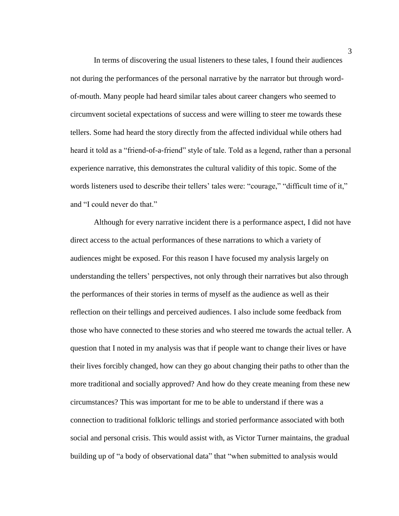In terms of discovering the usual listeners to these tales, I found their audiences not during the performances of the personal narrative by the narrator but through wordof-mouth. Many people had heard similar tales about career changers who seemed to circumvent societal expectations of success and were willing to steer me towards these tellers. Some had heard the story directly from the affected individual while others had heard it told as a "friend-of-a-friend" style of tale. Told as a legend, rather than a personal experience narrative, this demonstrates the cultural validity of this topic. Some of the words listeners used to describe their tellers' tales were: "courage," "difficult time of it," and "I could never do that."

Although for every narrative incident there is a performance aspect, I did not have direct access to the actual performances of these narrations to which a variety of audiences might be exposed. For this reason I have focused my analysis largely on understanding the tellers' perspectives, not only through their narratives but also through the performances of their stories in terms of myself as the audience as well as their reflection on their tellings and perceived audiences. I also include some feedback from those who have connected to these stories and who steered me towards the actual teller. A question that I noted in my analysis was that if people want to change their lives or have their lives forcibly changed, how can they go about changing their paths to other than the more traditional and socially approved? And how do they create meaning from these new circumstances? This was important for me to be able to understand if there was a connection to traditional folkloric tellings and storied performance associated with both social and personal crisis. This would assist with, as Victor Turner maintains, the gradual building up of "a body of observational data" that "when submitted to analysis would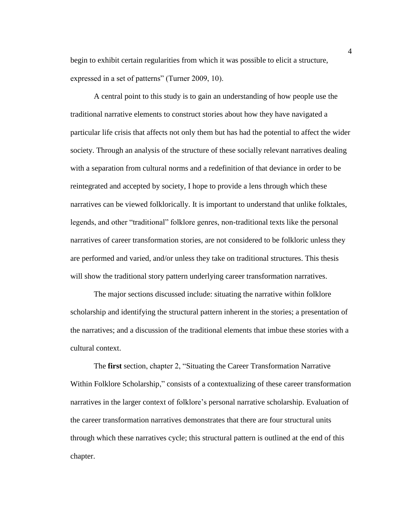begin to exhibit certain regularities from which it was possible to elicit a structure, expressed in a set of patterns" (Turner 2009, 10).

A central point to this study is to gain an understanding of how people use the traditional narrative elements to construct stories about how they have navigated a particular life crisis that affects not only them but has had the potential to affect the wider society. Through an analysis of the structure of these socially relevant narratives dealing with a separation from cultural norms and a redefinition of that deviance in order to be reintegrated and accepted by society, I hope to provide a lens through which these narratives can be viewed folklorically. It is important to understand that unlike folktales, legends, and other "traditional" folklore genres, non-traditional texts like the personal narratives of career transformation stories, are not considered to be folkloric unless they are performed and varied, and/or unless they take on traditional structures. This thesis will show the traditional story pattern underlying career transformation narratives.

The major sections discussed include: situating the narrative within folklore scholarship and identifying the structural pattern inherent in the stories; a presentation of the narratives; and a discussion of the traditional elements that imbue these stories with a cultural context.

The **first** section, chapter 2, "Situating the Career Transformation Narrative Within Folklore Scholarship," consists of a contextualizing of these career transformation narratives in the larger context of folklore's personal narrative scholarship. Evaluation of the career transformation narratives demonstrates that there are four structural units through which these narratives cycle; this structural pattern is outlined at the end of this chapter.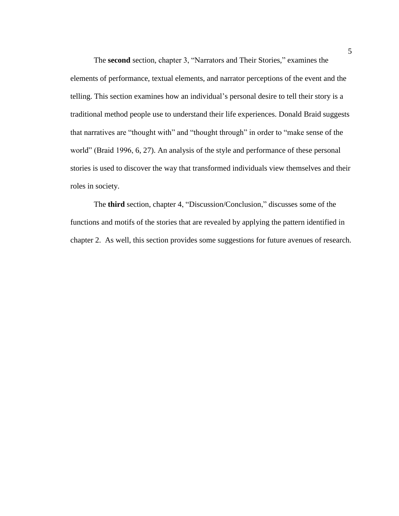The **second** section, chapter 3, "Narrators and Their Stories," examines the elements of performance, textual elements, and narrator perceptions of the event and the telling. This section examines how an individual's personal desire to tell their story is a traditional method people use to understand their life experiences. Donald Braid suggests that narratives are "thought with" and "thought through" in order to "make sense of the world" (Braid 1996, 6, 27). An analysis of the style and performance of these personal stories is used to discover the way that transformed individuals view themselves and their roles in society.

The **third** section, chapter 4, "Discussion/Conclusion," discusses some of the functions and motifs of the stories that are revealed by applying the pattern identified in chapter 2. As well, this section provides some suggestions for future avenues of research.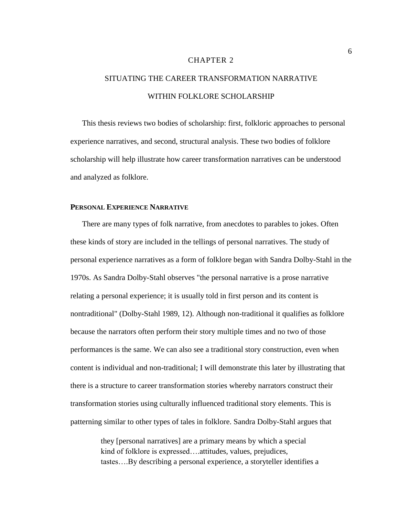#### CHAPTER 2

# SITUATING THE CAREER TRANSFORMATION NARRATIVE WITHIN FOLKLORE SCHOLARSHIP

This thesis reviews two bodies of scholarship: first, folkloric approaches to personal experience narratives, and second, structural analysis. These two bodies of folklore scholarship will help illustrate how career transformation narratives can be understood and analyzed as folklore.

#### **PERSONAL EXPERIENCE NARRATIVE**

There are many types of folk narrative, from anecdotes to parables to jokes. Often these kinds of story are included in the tellings of personal narratives. The study of personal experience narratives as a form of folklore began with Sandra Dolby-Stahl in the 1970s. As Sandra Dolby-Stahl observes "the personal narrative is a prose narrative relating a personal experience; it is usually told in first person and its content is nontraditional" (Dolby-Stahl 1989, 12). Although non-traditional it qualifies as folklore because the narrators often perform their story multiple times and no two of those performances is the same. We can also see a traditional story construction, even when content is individual and non-traditional; I will demonstrate this later by illustrating that there is a structure to career transformation stories whereby narrators construct their transformation stories using culturally influenced traditional story elements. This is patterning similar to other types of tales in folklore. Sandra Dolby-Stahl argues that

> they [personal narratives] are a primary means by which a special kind of folklore is expressed….attitudes, values, prejudices, tastes….By describing a personal experience, a storyteller identifies a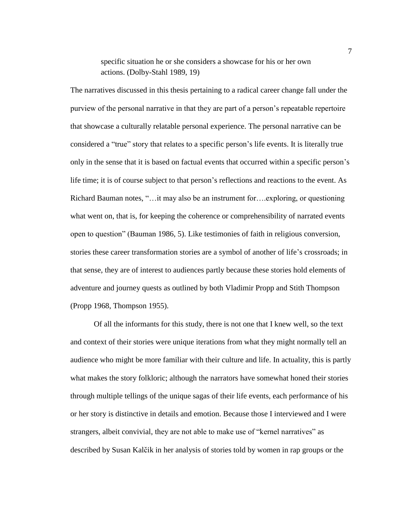specific situation he or she considers a showcase for his or her own actions. (Dolby-Stahl 1989, 19)

The narratives discussed in this thesis pertaining to a radical career change fall under the purview of the personal narrative in that they are part of a person's repeatable repertoire that showcase a culturally relatable personal experience. The personal narrative can be considered a "true" story that relates to a specific person's life events. It is literally true only in the sense that it is based on factual events that occurred within a specific person's life time; it is of course subject to that person's reflections and reactions to the event. As Richard Bauman notes, "…it may also be an instrument for….exploring, or questioning what went on, that is, for keeping the coherence or comprehensibility of narrated events open to question" (Bauman 1986, 5). Like testimonies of faith in religious conversion, stories these career transformation stories are a symbol of another of life's crossroads; in that sense, they are of interest to audiences partly because these stories hold elements of adventure and journey quests as outlined by both Vladimir Propp and Stith Thompson (Propp 1968, Thompson 1955).

Of all the informants for this study, there is not one that I knew well, so the text and context of their stories were unique iterations from what they might normally tell an audience who might be more familiar with their culture and life. In actuality, this is partly what makes the story folkloric; although the narrators have somewhat honed their stories through multiple tellings of the unique sagas of their life events, each performance of his or her story is distinctive in details and emotion. Because those I interviewed and I were strangers, albeit convivial, they are not able to make use of "kernel narratives" as described by Susan Kalcik in her analysis of stories told by women in rap groups or the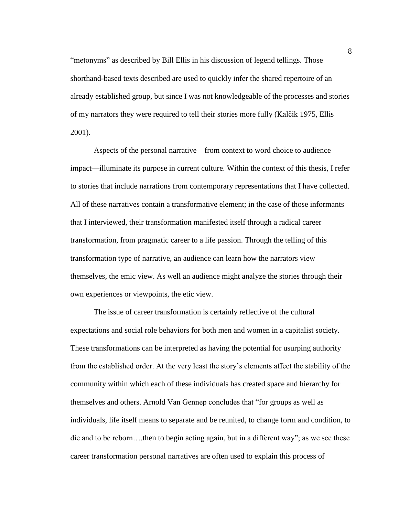"metonyms" as described by Bill Ellis in his discussion of legend tellings. Those shorthand-based texts described are used to quickly infer the shared repertoire of an already established group, but since I was not knowledgeable of the processes and stories of my narrators they were required to tell their stories more fully (Kalčik 1975, Ellis 2001).

Aspects of the personal narrative—from context to word choice to audience impact—illuminate its purpose in current culture. Within the context of this thesis, I refer to stories that include narrations from contemporary representations that I have collected. All of these narratives contain a transformative element; in the case of those informants that I interviewed, their transformation manifested itself through a radical career transformation, from pragmatic career to a life passion. Through the telling of this transformation type of narrative, an audience can learn how the narrators view themselves, the emic view. As well an audience might analyze the stories through their own experiences or viewpoints, the etic view.

The issue of career transformation is certainly reflective of the cultural expectations and social role behaviors for both men and women in a capitalist society. These transformations can be interpreted as having the potential for usurping authority from the established order. At the very least the story's elements affect the stability of the community within which each of these individuals has created space and hierarchy for themselves and others. Arnold Van Gennep concludes that "for groups as well as individuals, life itself means to separate and be reunited, to change form and condition, to die and to be reborn….then to begin acting again, but in a different way"; as we see these career transformation personal narratives are often used to explain this process of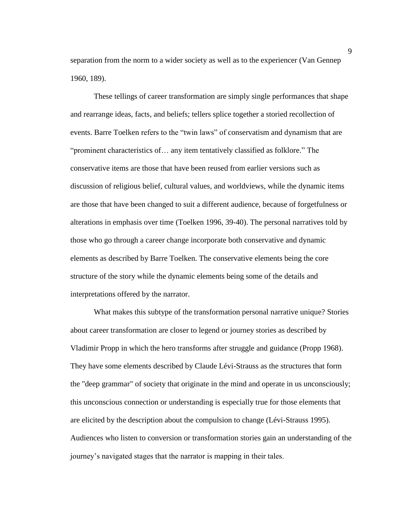separation from the norm to a wider society as well as to the experiencer (Van Gennep 1960, 189).

These tellings of career transformation are simply single performances that shape and rearrange ideas, facts, and beliefs; tellers splice together a storied recollection of events. Barre Toelken refers to the "twin laws" of conservatism and dynamism that are "prominent characteristics of… any item tentatively classified as folklore." The conservative items are those that have been reused from earlier versions such as discussion of religious belief, cultural values, and worldviews, while the dynamic items are those that have been changed to suit a different audience, because of forgetfulness or alterations in emphasis over time (Toelken 1996, 39-40). The personal narratives told by those who go through a career change incorporate both conservative and dynamic elements as described by Barre Toelken. The conservative elements being the core structure of the story while the dynamic elements being some of the details and interpretations offered by the narrator.

What makes this subtype of the transformation personal narrative unique? Stories about career transformation are closer to legend or journey stories as described by Vladimir Propp in which the hero transforms after struggle and guidance (Propp 1968). They have some elements described by Claude Lévi-Strauss as the structures that form the "deep grammar" of society that originate in the mind and operate in us unconsciously; this unconscious connection or understanding is especially true for those elements that are elicited by the description about the compulsion to change (Lévi-Strauss 1995). Audiences who listen to conversion or transformation stories gain an understanding of the journey's navigated stages that the narrator is mapping in their tales.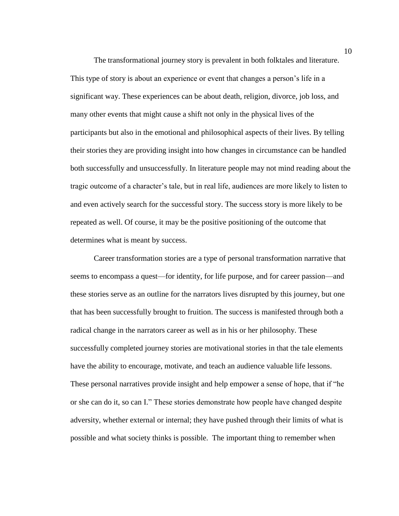The transformational journey story is prevalent in both folktales and literature. This type of story is about an experience or event that changes a person's life in a significant way. These experiences can be about death, religion, divorce, job loss, and many other events that might cause a shift not only in the physical lives of the participants but also in the emotional and philosophical aspects of their lives. By telling their stories they are providing insight into how changes in circumstance can be handled both successfully and unsuccessfully. In literature people may not mind reading about the tragic outcome of a character's tale, but in real life, audiences are more likely to listen to and even actively search for the successful story. The success story is more likely to be repeated as well. Of course, it may be the positive positioning of the outcome that determines what is meant by success.

Career transformation stories are a type of personal transformation narrative that seems to encompass a quest—for identity, for life purpose, and for career passion—and these stories serve as an outline for the narrators lives disrupted by this journey, but one that has been successfully brought to fruition. The success is manifested through both a radical change in the narrators career as well as in his or her philosophy. These successfully completed journey stories are motivational stories in that the tale elements have the ability to encourage, motivate, and teach an audience valuable life lessons. These personal narratives provide insight and help empower a sense of hope, that if "he or she can do it, so can I." These stories demonstrate how people have changed despite adversity, whether external or internal; they have pushed through their limits of what is possible and what society thinks is possible. The important thing to remember when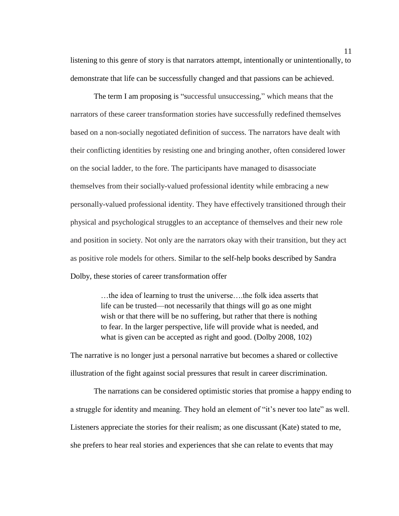listening to this genre of story is that narrators attempt, intentionally or unintentionally, to demonstrate that life can be successfully changed and that passions can be achieved.

The term I am proposing is "successful unsuccessing," which means that the narrators of these career transformation stories have successfully redefined themselves based on a non-socially negotiated definition of success. The narrators have dealt with their conflicting identities by resisting one and bringing another, often considered lower on the social ladder, to the fore. The participants have managed to disassociate themselves from their socially-valued professional identity while embracing a new personally-valued professional identity. They have effectively transitioned through their physical and psychological struggles to an acceptance of themselves and their new role and position in society. Not only are the narrators okay with their transition, but they act as positive role models for others. Similar to the self-help books described by Sandra Dolby, these stories of career transformation offer

> …the idea of learning to trust the universe….the folk idea asserts that life can be trusted—not necessarily that things will go as one might wish or that there will be no suffering, but rather that there is nothing to fear. In the larger perspective, life will provide what is needed, and what is given can be accepted as right and good. (Dolby 2008, 102)

The narrative is no longer just a personal narrative but becomes a shared or collective illustration of the fight against social pressures that result in career discrimination.

The narrations can be considered optimistic stories that promise a happy ending to a struggle for identity and meaning. They hold an element of "it's never too late" as well. Listeners appreciate the stories for their realism; as one discussant (Kate) stated to me, she prefers to hear real stories and experiences that she can relate to events that may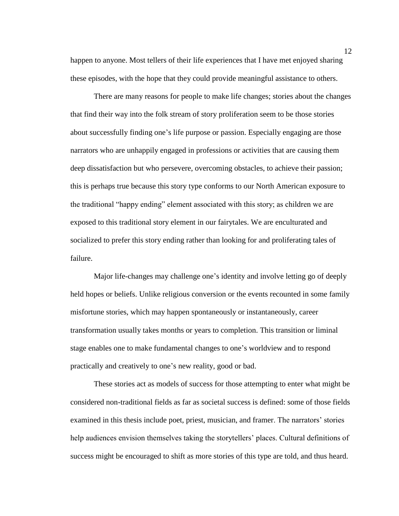happen to anyone. Most tellers of their life experiences that I have met enjoyed sharing these episodes, with the hope that they could provide meaningful assistance to others.

There are many reasons for people to make life changes; stories about the changes that find their way into the folk stream of story proliferation seem to be those stories about successfully finding one's life purpose or passion. Especially engaging are those narrators who are unhappily engaged in professions or activities that are causing them deep dissatisfaction but who persevere, overcoming obstacles, to achieve their passion; this is perhaps true because this story type conforms to our North American exposure to the traditional "happy ending" element associated with this story; as children we are exposed to this traditional story element in our fairytales. We are enculturated and socialized to prefer this story ending rather than looking for and proliferating tales of failure.

Major life-changes may challenge one's identity and involve letting go of deeply held hopes or beliefs. Unlike religious conversion or the events recounted in some family misfortune stories, which may happen spontaneously or instantaneously, career transformation usually takes months or years to completion. This transition or liminal stage enables one to make fundamental changes to one's worldview and to respond practically and creatively to one's new reality, good or bad.

These stories act as models of success for those attempting to enter what might be considered non-traditional fields as far as societal success is defined: some of those fields examined in this thesis include poet, priest, musician, and framer. The narrators' stories help audiences envision themselves taking the storytellers' places. Cultural definitions of success might be encouraged to shift as more stories of this type are told, and thus heard.

12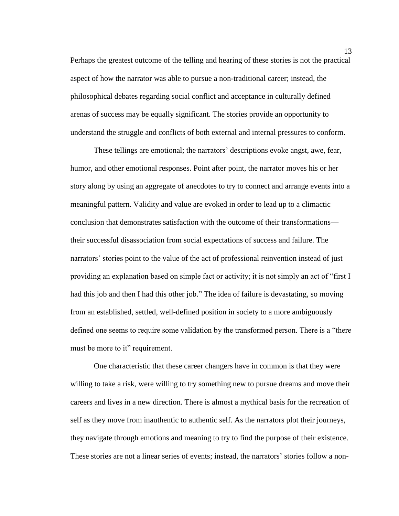Perhaps the greatest outcome of the telling and hearing of these stories is not the practical aspect of how the narrator was able to pursue a non-traditional career; instead, the philosophical debates regarding social conflict and acceptance in culturally defined arenas of success may be equally significant. The stories provide an opportunity to understand the struggle and conflicts of both external and internal pressures to conform.

These tellings are emotional; the narrators' descriptions evoke angst, awe, fear, humor, and other emotional responses. Point after point, the narrator moves his or her story along by using an aggregate of anecdotes to try to connect and arrange events into a meaningful pattern. Validity and value are evoked in order to lead up to a climactic conclusion that demonstrates satisfaction with the outcome of their transformations their successful disassociation from social expectations of success and failure. The narrators' stories point to the value of the act of professional reinvention instead of just providing an explanation based on simple fact or activity; it is not simply an act of "first I had this job and then I had this other job." The idea of failure is devastating, so moving from an established, settled, well-defined position in society to a more ambiguously defined one seems to require some validation by the transformed person. There is a "there must be more to it" requirement.

One characteristic that these career changers have in common is that they were willing to take a risk, were willing to try something new to pursue dreams and move their careers and lives in a new direction. There is almost a mythical basis for the recreation of self as they move from inauthentic to authentic self. As the narrators plot their journeys, they navigate through emotions and meaning to try to find the purpose of their existence. These stories are not a linear series of events; instead, the narrators' stories follow a non-

13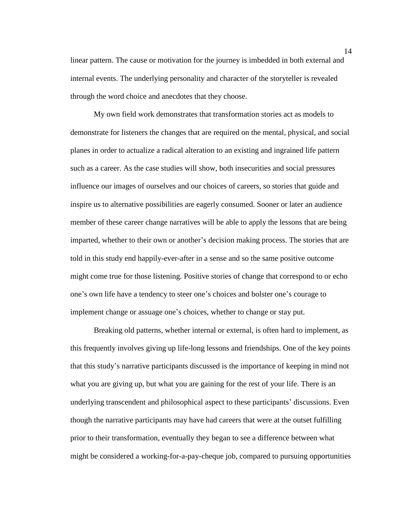linear pattern. The cause or motivation for the journey is imbedded in both external and internal events. The underlying personality and character of the storyteller is revealed through the word choice and anecdotes that they choose.

My own field work demonstrates that transformation stories act as models to demonstrate for listeners the changes that are required on the mental, physical, and social planes in order to actualize a radical alteration to an existing and ingrained life pattern such as a career. As the case studies will show, both insecurities and social pressures influence our images of ourselves and our choices of careers, so stories that guide and inspire us to alternative possibilities are eagerly consumed. Sooner or later an audience member of these career change narratives will be able to apply the lessons that are being imparted, whether to their own or another's decision making process. The stories that are told in this study end happily-ever-after in a sense and so the same positive outcome might come true for those listening. Positive stories of change that correspond to or echo one's own life have a tendency to steer one's choices and bolster one's courage to implement change or assuage one's choices, whether to change or stay put.

Breaking old patterns, whether internal or external, is often hard to implement, as this frequently involves giving up life-long lessons and friendships. One of the key points that this study's narrative participants discussed is the importance of keeping in mind not what you are giving up, but what you are gaining for the rest of your life. There is an underlying transcendent and philosophical aspect to these participants' discussions. Even though the narrative participants may have had careers that were at the outset fulfilling prior to their transformation, eventually they began to see a difference between what might be considered a working-for-a-pay-cheque job, compared to pursuing opportunities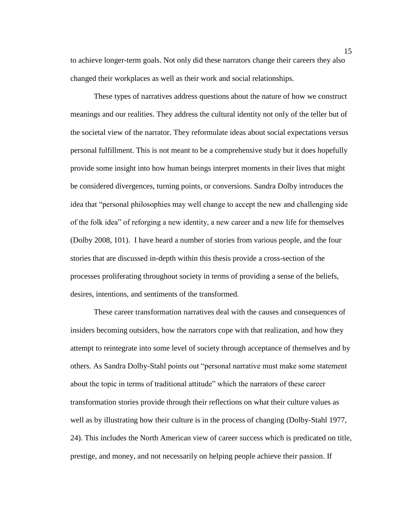to achieve longer-term goals. Not only did these narrators change their careers they also changed their workplaces as well as their work and social relationships.

These types of narratives address questions about the nature of how we construct meanings and our realities. They address the cultural identity not only of the teller but of the societal view of the narrator. They reformulate ideas about social expectations versus personal fulfillment. This is not meant to be a comprehensive study but it does hopefully provide some insight into how human beings interpret moments in their lives that might be considered divergences, turning points, or conversions. Sandra Dolby introduces the idea that "personal philosophies may well change to accept the new and challenging side of the folk idea" of reforging a new identity, a new career and a new life for themselves (Dolby 2008, 101). I have heard a number of stories from various people, and the four stories that are discussed in-depth within this thesis provide a cross-section of the processes proliferating throughout society in terms of providing a sense of the beliefs, desires, intentions, and sentiments of the transformed.

These career transformation narratives deal with the causes and consequences of insiders becoming outsiders, how the narrators cope with that realization, and how they attempt to reintegrate into some level of society through acceptance of themselves and by others. As Sandra Dolby-Stahl points out "personal narrative must make some statement about the topic in terms of traditional attitude" which the narrators of these career transformation stories provide through their reflections on what their culture values as well as by illustrating how their culture is in the process of changing (Dolby-Stahl 1977, 24). This includes the North American view of career success which is predicated on title, prestige, and money, and not necessarily on helping people achieve their passion. If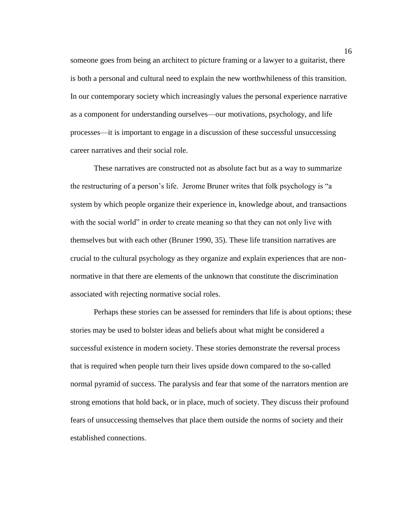someone goes from being an architect to picture framing or a lawyer to a guitarist, there is both a personal and cultural need to explain the new worthwhileness of this transition. In our contemporary society which increasingly values the personal experience narrative as a component for understanding ourselves—our motivations, psychology, and life processes—it is important to engage in a discussion of these successful unsuccessing career narratives and their social role.

These narratives are constructed not as absolute fact but as a way to summarize the restructuring of a person's life. Jerome Bruner writes that folk psychology is "a system by which people organize their experience in, knowledge about, and transactions with the social world" in order to create meaning so that they can not only live with themselves but with each other (Bruner 1990, 35). These life transition narratives are crucial to the cultural psychology as they organize and explain experiences that are nonnormative in that there are elements of the unknown that constitute the discrimination associated with rejecting normative social roles.

Perhaps these stories can be assessed for reminders that life is about options; these stories may be used to bolster ideas and beliefs about what might be considered a successful existence in modern society. These stories demonstrate the reversal process that is required when people turn their lives upside down compared to the so-called normal pyramid of success. The paralysis and fear that some of the narrators mention are strong emotions that hold back, or in place, much of society. They discuss their profound fears of unsuccessing themselves that place them outside the norms of society and their established connections.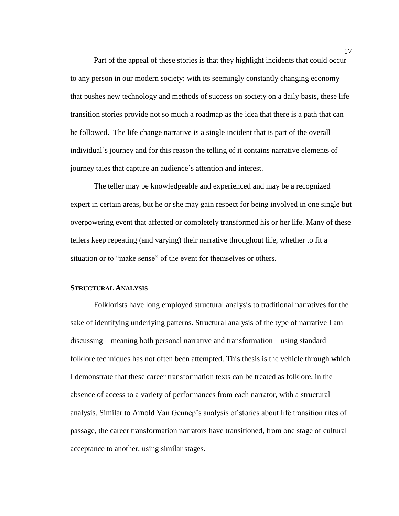Part of the appeal of these stories is that they highlight incidents that could occur to any person in our modern society; with its seemingly constantly changing economy that pushes new technology and methods of success on society on a daily basis, these life transition stories provide not so much a roadmap as the idea that there is a path that can be followed. The life change narrative is a single incident that is part of the overall individual's journey and for this reason the telling of it contains narrative elements of journey tales that capture an audience's attention and interest.

The teller may be knowledgeable and experienced and may be a recognized expert in certain areas, but he or she may gain respect for being involved in one single but overpowering event that affected or completely transformed his or her life. Many of these tellers keep repeating (and varying) their narrative throughout life, whether to fit a situation or to "make sense" of the event for themselves or others.

#### **STRUCTURAL ANALYSIS**

Folklorists have long employed structural analysis to traditional narratives for the sake of identifying underlying patterns. Structural analysis of the type of narrative I am discussing—meaning both personal narrative and transformation—using standard folklore techniques has not often been attempted. This thesis is the vehicle through which I demonstrate that these career transformation texts can be treated as folklore, in the absence of access to a variety of performances from each narrator, with a structural analysis. Similar to Arnold Van Gennep's analysis of stories about life transition rites of passage, the career transformation narrators have transitioned, from one stage of cultural acceptance to another, using similar stages.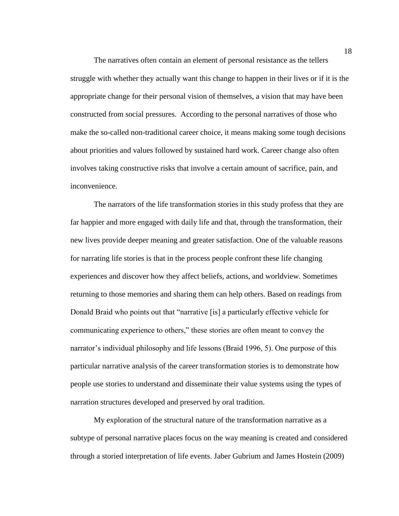The narratives often contain an element of personal resistance as the tellers struggle with whether they actually want this change to happen in their lives or if it is the appropriate change for their personal vision of themselves, a vision that may have been constructed from social pressures. According to the personal narratives of those who make the so-called non-traditional career choice, it means making some tough decisions about priorities and values followed by sustained hard work. Career change also often involves taking constructive risks that involve a certain amount of sacrifice, pain, and inconvenience.

The narrators of the life transformation stories in this study profess that they are far happier and more engaged with daily life and that, through the transformation, their new lives provide deeper meaning and greater satisfaction. One of the valuable reasons for narrating life stories is that in the process people confront these life changing experiences and discover how they affect beliefs, actions, and worldview. Sometimes returning to those memories and sharing them can help others. Based on readings from Donald Braid who points out that "narrative [is] a particularly effective vehicle for communicating experience to others," these stories are often meant to convey the narrator's individual philosophy and life lessons (Braid 1996, 5). One purpose of this particular narrative analysis of the career transformation stories is to demonstrate how people use stories to understand and disseminate their value systems using the types of narration structures developed and preserved by oral tradition.

My exploration of the structural nature of the transformation narrative as a subtype of personal narrative places focus on the way meaning is created and considered through a storied interpretation of life events. Jaber Gubrium and James Hostein (2009)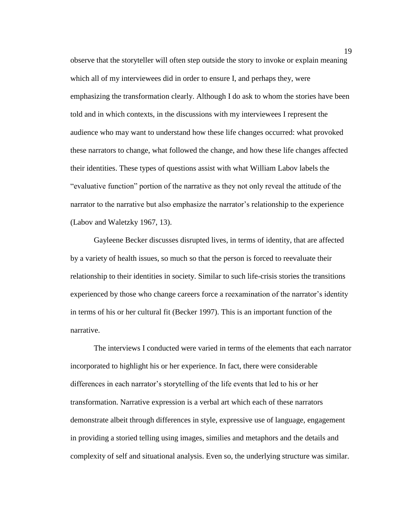observe that the storyteller will often step outside the story to invoke or explain meaning which all of my interviewees did in order to ensure I, and perhaps they, were emphasizing the transformation clearly. Although I do ask to whom the stories have been told and in which contexts, in the discussions with my interviewees I represent the audience who may want to understand how these life changes occurred: what provoked these narrators to change, what followed the change, and how these life changes affected their identities. These types of questions assist with what William Labov labels the "evaluative function" portion of the narrative as they not only reveal the attitude of the narrator to the narrative but also emphasize the narrator's relationship to the experience (Labov and Waletzky 1967, 13).

Gayleene Becker discusses disrupted lives, in terms of identity, that are affected by a variety of health issues, so much so that the person is forced to reevaluate their relationship to their identities in society. Similar to such life-crisis stories the transitions experienced by those who change careers force a reexamination of the narrator's identity in terms of his or her cultural fit (Becker 1997). This is an important function of the narrative.

The interviews I conducted were varied in terms of the elements that each narrator incorporated to highlight his or her experience. In fact, there were considerable differences in each narrator's storytelling of the life events that led to his or her transformation. Narrative expression is a verbal art which each of these narrators demonstrate albeit through differences in style, expressive use of language, engagement in providing a storied telling using images, similies and metaphors and the details and complexity of self and situational analysis. Even so, the underlying structure was similar.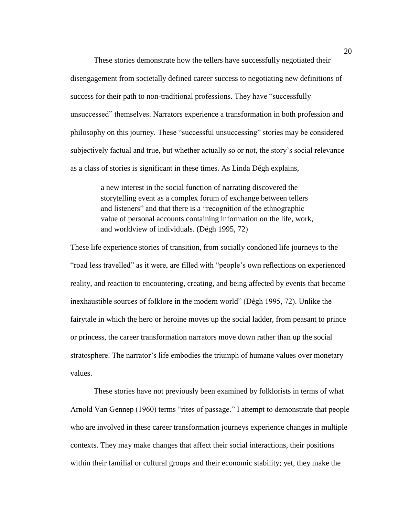These stories demonstrate how the tellers have successfully negotiated their disengagement from societally defined career success to negotiating new definitions of success for their path to non-traditional professions. They have "successfully unsuccessed" themselves. Narrators experience a transformation in both profession and philosophy on this journey. These "successful unsuccessing" stories may be considered subjectively factual and true, but whether actually so or not, the story's social relevance as a class of stories is significant in these times. As Linda Dégh explains,

> a new interest in the social function of narrating discovered the storytelling event as a complex forum of exchange between tellers and listeners" and that there is a "recognition of the ethnographic value of personal accounts containing information on the life, work, and worldview of individuals. (Dégh 1995, 72)

These life experience stories of transition, from socially condoned life journeys to the "road less travelled" as it were, are filled with "people's own reflections on experienced reality, and reaction to encountering, creating, and being affected by events that became inexhaustible sources of folklore in the modern world" (Dégh 1995, 72). Unlike the fairytale in which the hero or heroine moves up the social ladder, from peasant to prince or princess, the career transformation narrators move down rather than up the social stratosphere. The narrator's life embodies the triumph of humane values over monetary values.

These stories have not previously been examined by folklorists in terms of what Arnold Van Gennep (1960) terms "rites of passage." I attempt to demonstrate that people who are involved in these career transformation journeys experience changes in multiple contexts. They may make changes that affect their social interactions, their positions within their familial or cultural groups and their economic stability; yet, they make the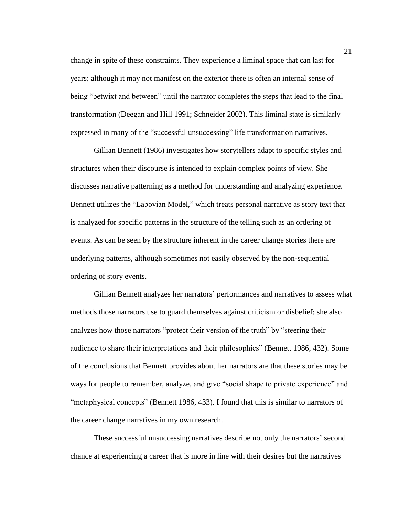change in spite of these constraints. They experience a liminal space that can last for years; although it may not manifest on the exterior there is often an internal sense of being "betwixt and between" until the narrator completes the steps that lead to the final transformation (Deegan and Hill 1991; Schneider 2002). This liminal state is similarly expressed in many of the "successful unsuccessing" life transformation narratives.

Gillian Bennett (1986) investigates how storytellers adapt to specific styles and structures when their discourse is intended to explain complex points of view. She discusses narrative patterning as a method for understanding and analyzing experience. Bennett utilizes the "Labovian Model," which treats personal narrative as story text that is analyzed for specific patterns in the structure of the telling such as an ordering of events. As can be seen by the structure inherent in the career change stories there are underlying patterns, although sometimes not easily observed by the non-sequential ordering of story events.

Gillian Bennett analyzes her narrators' performances and narratives to assess what methods those narrators use to guard themselves against criticism or disbelief; she also analyzes how those narrators "protect their version of the truth" by "steering their audience to share their interpretations and their philosophies" (Bennett 1986, 432). Some of the conclusions that Bennett provides about her narrators are that these stories may be ways for people to remember, analyze, and give "social shape to private experience" and "metaphysical concepts" (Bennett 1986, 433). I found that this is similar to narrators of the career change narratives in my own research.

These successful unsuccessing narratives describe not only the narrators' second chance at experiencing a career that is more in line with their desires but the narratives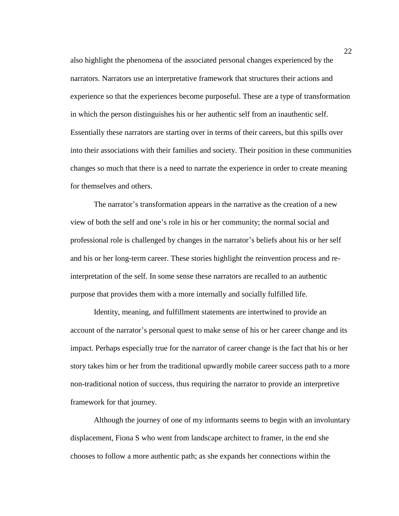also highlight the phenomena of the associated personal changes experienced by the narrators. Narrators use an interpretative framework that structures their actions and experience so that the experiences become purposeful. These are a type of transformation in which the person distinguishes his or her authentic self from an inauthentic self. Essentially these narrators are starting over in terms of their careers, but this spills over into their associations with their families and society. Their position in these communities changes so much that there is a need to narrate the experience in order to create meaning for themselves and others.

The narrator's transformation appears in the narrative as the creation of a new view of both the self and one's role in his or her community; the normal social and professional role is challenged by changes in the narrator's beliefs about his or her self and his or her long-term career. These stories highlight the reinvention process and reinterpretation of the self. In some sense these narrators are recalled to an authentic purpose that provides them with a more internally and socially fulfilled life.

Identity, meaning, and fulfillment statements are intertwined to provide an account of the narrator's personal quest to make sense of his or her career change and its impact. Perhaps especially true for the narrator of career change is the fact that his or her story takes him or her from the traditional upwardly mobile career success path to a more non-traditional notion of success, thus requiring the narrator to provide an interpretive framework for that journey.

Although the journey of one of my informants seems to begin with an involuntary displacement, Fiona S who went from landscape architect to framer, in the end she chooses to follow a more authentic path; as she expands her connections within the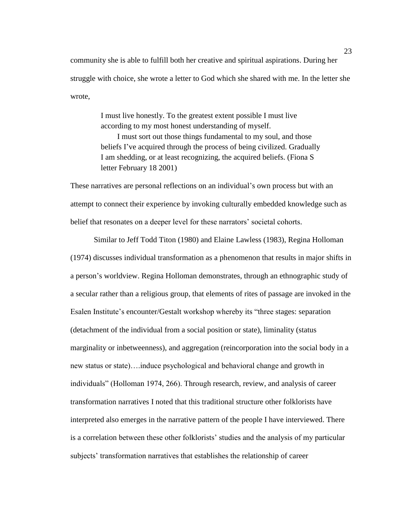community she is able to fulfill both her creative and spiritual aspirations. During her struggle with choice, she wrote a letter to God which she shared with me. In the letter she wrote,

> I must live honestly. To the greatest extent possible I must live according to my most honest understanding of myself. I must sort out those things fundamental to my soul, and those beliefs I've acquired through the process of being civilized. Gradually I am shedding, or at least recognizing, the acquired beliefs. (Fiona S letter February 18 2001)

These narratives are personal reflections on an individual's own process but with an attempt to connect their experience by invoking culturally embedded knowledge such as belief that resonates on a deeper level for these narrators' societal cohorts.

Similar to Jeff Todd Titon (1980) and Elaine Lawless (1983), Regina Holloman (1974) discusses individual transformation as a phenomenon that results in major shifts in a person's worldview. Regina Holloman demonstrates, through an ethnographic study of a secular rather than a religious group, that elements of rites of passage are invoked in the Esalen Institute's encounter/Gestalt workshop whereby its "three stages: separation (detachment of the individual from a social position or state), liminality (status marginality or inbetweenness), and aggregation (reincorporation into the social body in a new status or state)….induce psychological and behavioral change and growth in individuals" (Holloman 1974, 266). Through research, review, and analysis of career transformation narratives I noted that this traditional structure other folklorists have interpreted also emerges in the narrative pattern of the people I have interviewed. There is a correlation between these other folklorists' studies and the analysis of my particular subjects' transformation narratives that establishes the relationship of career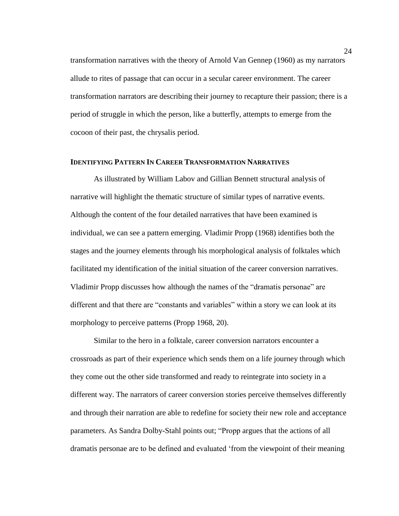transformation narratives with the theory of Arnold Van Gennep (1960) as my narrators allude to rites of passage that can occur in a secular career environment. The career transformation narrators are describing their journey to recapture their passion; there is a period of struggle in which the person, like a butterfly, attempts to emerge from the cocoon of their past, the chrysalis period.

## **IDENTIFYING PATTERN IN CAREER TRANSFORMATION NARRATIVES**

As illustrated by William Labov and Gillian Bennett structural analysis of narrative will highlight the thematic structure of similar types of narrative events. Although the content of the four detailed narratives that have been examined is individual, we can see a pattern emerging. Vladimir Propp (1968) identifies both the stages and the journey elements through his morphological analysis of folktales which facilitated my identification of the initial situation of the career conversion narratives. Vladimir Propp discusses how although the names of the "dramatis personae" are different and that there are "constants and variables" within a story we can look at its morphology to perceive patterns (Propp 1968, 20).

Similar to the hero in a folktale, career conversion narrators encounter a crossroads as part of their experience which sends them on a life journey through which they come out the other side transformed and ready to reintegrate into society in a different way. The narrators of career conversion stories perceive themselves differently and through their narration are able to redefine for society their new role and acceptance parameters. As Sandra Dolby-Stahl points out; "Propp argues that the actions of all dramatis personae are to be defined and evaluated 'from the viewpoint of their meaning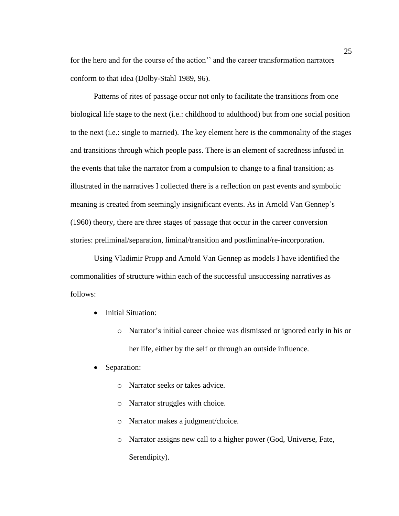for the hero and for the course of the action'' and the career transformation narrators conform to that idea (Dolby-Stahl 1989, 96).

Patterns of rites of passage occur not only to facilitate the transitions from one biological life stage to the next (i.e.: childhood to adulthood) but from one social position to the next (i.e.: single to married). The key element here is the commonality of the stages and transitions through which people pass. There is an element of sacredness infused in the events that take the narrator from a compulsion to change to a final transition; as illustrated in the narratives I collected there is a reflection on past events and symbolic meaning is created from seemingly insignificant events. As in Arnold Van Gennep's (1960) theory, there are three stages of passage that occur in the career conversion stories: preliminal/separation, liminal/transition and postliminal/re-incorporation.

Using Vladimir Propp and Arnold Van Gennep as models I have identified the commonalities of structure within each of the successful unsuccessing narratives as follows:

- Initial Situation:
	- o Narrator's initial career choice was dismissed or ignored early in his or her life, either by the self or through an outside influence.
- Separation:
	- o Narrator seeks or takes advice.
	- o Narrator struggles with choice.
	- o Narrator makes a judgment/choice.
	- o Narrator assigns new call to a higher power (God, Universe, Fate, Serendipity).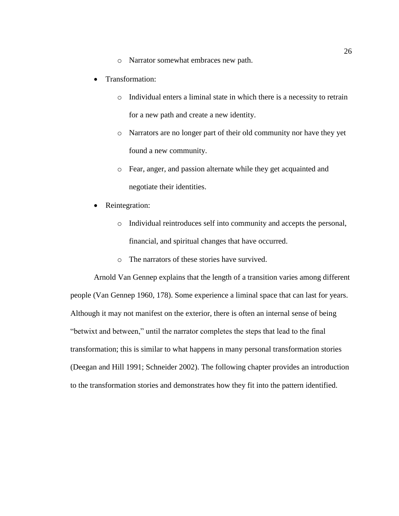- o Narrator somewhat embraces new path.
- Transformation:
	- o Individual enters a liminal state in which there is a necessity to retrain for a new path and create a new identity.
	- o Narrators are no longer part of their old community nor have they yet found a new community.
	- o Fear, anger, and passion alternate while they get acquainted and negotiate their identities.
- Reintegration:
	- o Individual reintroduces self into community and accepts the personal, financial, and spiritual changes that have occurred.
	- o The narrators of these stories have survived.

Arnold Van Gennep explains that the length of a transition varies among different people (Van Gennep 1960, 178). Some experience a liminal space that can last for years. Although it may not manifest on the exterior, there is often an internal sense of being "betwixt and between," until the narrator completes the steps that lead to the final transformation; this is similar to what happens in many personal transformation stories (Deegan and Hill 1991; Schneider 2002). The following chapter provides an introduction to the transformation stories and demonstrates how they fit into the pattern identified.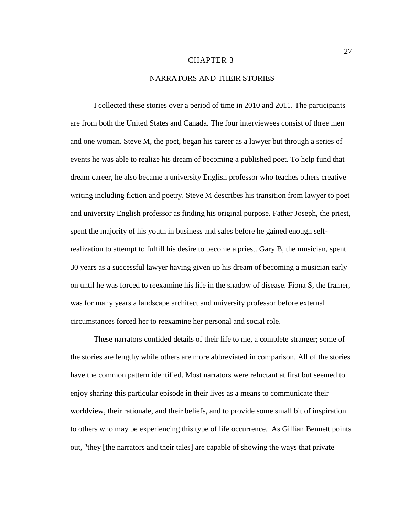#### CHAPTER 3

## NARRATORS AND THEIR STORIES

I collected these stories over a period of time in 2010 and 2011. The participants are from both the United States and Canada. The four interviewees consist of three men and one woman. Steve M, the poet, began his career as a lawyer but through a series of events he was able to realize his dream of becoming a published poet. To help fund that dream career, he also became a university English professor who teaches others creative writing including fiction and poetry. Steve M describes his transition from lawyer to poet and university English professor as finding his original purpose. Father Joseph, the priest, spent the majority of his youth in business and sales before he gained enough selfrealization to attempt to fulfill his desire to become a priest. Gary B, the musician, spent 30 years as a successful lawyer having given up his dream of becoming a musician early on until he was forced to reexamine his life in the shadow of disease. Fiona S, the framer, was for many years a landscape architect and university professor before external circumstances forced her to reexamine her personal and social role.

These narrators confided details of their life to me, a complete stranger; some of the stories are lengthy while others are more abbreviated in comparison. All of the stories have the common pattern identified. Most narrators were reluctant at first but seemed to enjoy sharing this particular episode in their lives as a means to communicate their worldview, their rationale, and their beliefs, and to provide some small bit of inspiration to others who may be experiencing this type of life occurrence. As Gillian Bennett points out, "they [the narrators and their tales] are capable of showing the ways that private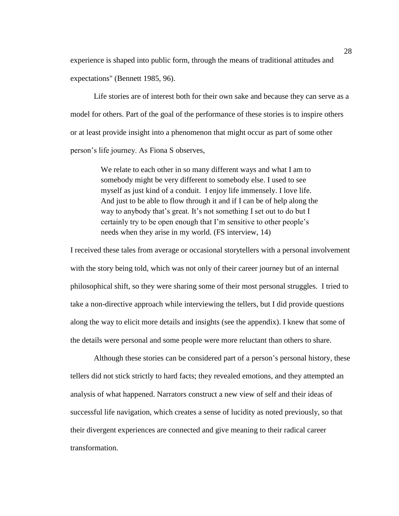experience is shaped into public form, through the means of traditional attitudes and expectations" (Bennett 1985, 96).

Life stories are of interest both for their own sake and because they can serve as a model for others. Part of the goal of the performance of these stories is to inspire others or at least provide insight into a phenomenon that might occur as part of some other person's life journey. As Fiona S observes,

> We relate to each other in so many different ways and what I am to somebody might be very different to somebody else. I used to see myself as just kind of a conduit. I enjoy life immensely. I love life. And just to be able to flow through it and if I can be of help along the way to anybody that's great. It's not something I set out to do but I certainly try to be open enough that I'm sensitive to other people's needs when they arise in my world. (FS interview, 14)

I received these tales from average or occasional storytellers with a personal involvement with the story being told, which was not only of their career journey but of an internal philosophical shift, so they were sharing some of their most personal struggles. I tried to take a non-directive approach while interviewing the tellers, but I did provide questions along the way to elicit more details and insights (see the appendix). I knew that some of the details were personal and some people were more reluctant than others to share.

Although these stories can be considered part of a person's personal history, these tellers did not stick strictly to hard facts; they revealed emotions, and they attempted an analysis of what happened. Narrators construct a new view of self and their ideas of successful life navigation, which creates a sense of lucidity as noted previously, so that their divergent experiences are connected and give meaning to their radical career transformation.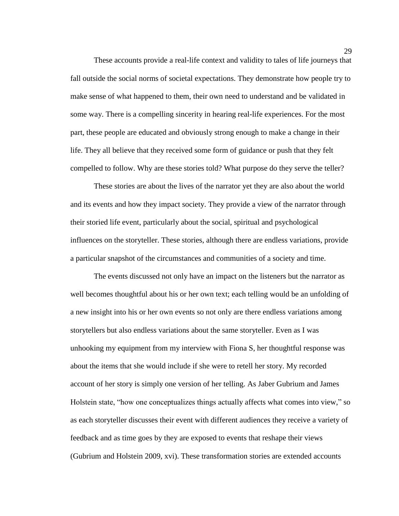These accounts provide a real-life context and validity to tales of life journeys that fall outside the social norms of societal expectations. They demonstrate how people try to make sense of what happened to them, their own need to understand and be validated in some way. There is a compelling sincerity in hearing real-life experiences. For the most part, these people are educated and obviously strong enough to make a change in their life. They all believe that they received some form of guidance or push that they felt compelled to follow. Why are these stories told? What purpose do they serve the teller?

These stories are about the lives of the narrator yet they are also about the world and its events and how they impact society. They provide a view of the narrator through their storied life event, particularly about the social, spiritual and psychological influences on the storyteller. These stories, although there are endless variations, provide a particular snapshot of the circumstances and communities of a society and time.

The events discussed not only have an impact on the listeners but the narrator as well becomes thoughtful about his or her own text; each telling would be an unfolding of a new insight into his or her own events so not only are there endless variations among storytellers but also endless variations about the same storyteller. Even as I was unhooking my equipment from my interview with Fiona S, her thoughtful response was about the items that she would include if she were to retell her story. My recorded account of her story is simply one version of her telling. As Jaber Gubrium and James Holstein state, "how one conceptualizes things actually affects what comes into view," so as each storyteller discusses their event with different audiences they receive a variety of feedback and as time goes by they are exposed to events that reshape their views (Gubrium and Holstein 2009, xvi). These transformation stories are extended accounts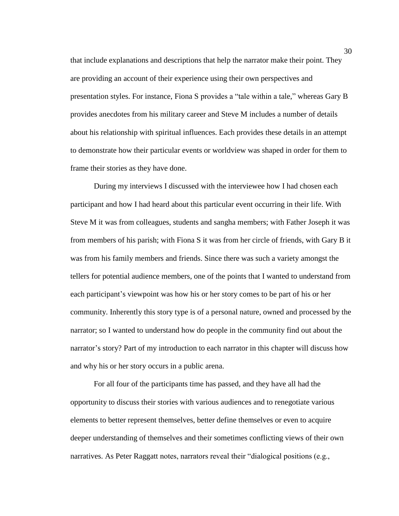that include explanations and descriptions that help the narrator make their point. They are providing an account of their experience using their own perspectives and presentation styles. For instance, Fiona S provides a "tale within a tale," whereas Gary B provides anecdotes from his military career and Steve M includes a number of details about his relationship with spiritual influences. Each provides these details in an attempt to demonstrate how their particular events or worldview was shaped in order for them to frame their stories as they have done.

During my interviews I discussed with the interviewee how I had chosen each participant and how I had heard about this particular event occurring in their life. With Steve M it was from colleagues, students and sangha members; with Father Joseph it was from members of his parish; with Fiona S it was from her circle of friends, with Gary B it was from his family members and friends. Since there was such a variety amongst the tellers for potential audience members, one of the points that I wanted to understand from each participant's viewpoint was how his or her story comes to be part of his or her community. Inherently this story type is of a personal nature, owned and processed by the narrator; so I wanted to understand how do people in the community find out about the narrator's story? Part of my introduction to each narrator in this chapter will discuss how and why his or her story occurs in a public arena.

For all four of the participants time has passed, and they have all had the opportunity to discuss their stories with various audiences and to renegotiate various elements to better represent themselves, better define themselves or even to acquire deeper understanding of themselves and their sometimes conflicting views of their own narratives. As Peter Raggatt notes, narrators reveal their "dialogical positions (e.g.,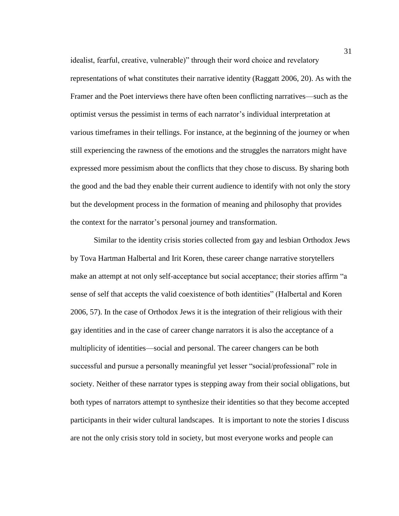idealist, fearful, creative, vulnerable)" through their word choice and revelatory representations of what constitutes their narrative identity (Raggatt 2006, 20). As with the Framer and the Poet interviews there have often been conflicting narratives—such as the optimist versus the pessimist in terms of each narrator's individual interpretation at various timeframes in their tellings. For instance, at the beginning of the journey or when still experiencing the rawness of the emotions and the struggles the narrators might have expressed more pessimism about the conflicts that they chose to discuss. By sharing both the good and the bad they enable their current audience to identify with not only the story but the development process in the formation of meaning and philosophy that provides the context for the narrator's personal journey and transformation.

Similar to the identity crisis stories collected from gay and lesbian Orthodox Jews by Tova Hartman Halbertal and Irit Koren, these career change narrative storytellers make an attempt at not only self-acceptance but social acceptance; their stories affirm "a sense of self that accepts the valid coexistence of both identities" (Halbertal and Koren 2006, 57). In the case of Orthodox Jews it is the integration of their religious with their gay identities and in the case of career change narrators it is also the acceptance of a multiplicity of identities—social and personal. The career changers can be both successful and pursue a personally meaningful yet lesser "social/professional" role in society. Neither of these narrator types is stepping away from their social obligations, but both types of narrators attempt to synthesize their identities so that they become accepted participants in their wider cultural landscapes. It is important to note the stories I discuss are not the only crisis story told in society, but most everyone works and people can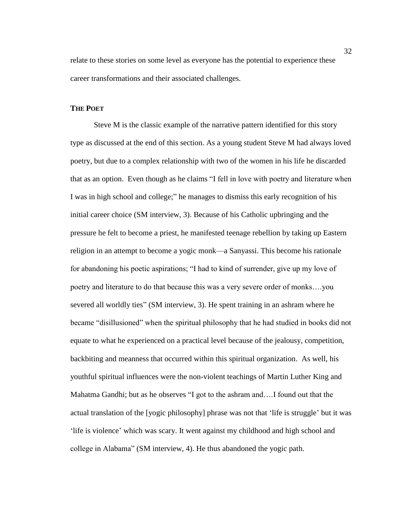relate to these stories on some level as everyone has the potential to experience these career transformations and their associated challenges.

# **THE POET**

Steve M is the classic example of the narrative pattern identified for this story type as discussed at the end of this section. As a young student Steve M had always loved poetry, but due to a complex relationship with two of the women in his life he discarded that as an option. Even though as he claims "I fell in love with poetry and literature when I was in high school and college;" he manages to dismiss this early recognition of his initial career choice (SM interview, 3). Because of his Catholic upbringing and the pressure he felt to become a priest, he manifested teenage rebellion by taking up Eastern religion in an attempt to become a yogic monk—a Sanyassi. This become his rationale for abandoning his poetic aspirations; "I had to kind of surrender, give up my love of poetry and literature to do that because this was a very severe order of monks….you severed all worldly ties" (SM interview, 3). He spent training in an ashram where he became "disillusioned" when the spiritual philosophy that he had studied in books did not equate to what he experienced on a practical level because of the jealousy, competition, backbiting and meanness that occurred within this spiritual organization. As well, his youthful spiritual influences were the non-violent teachings of Martin Luther King and Mahatma Gandhi; but as he observes "I got to the ashram and….I found out that the actual translation of the [yogic philosophy] phrase was not that 'life is struggle' but it was 'life is violence' which was scary. It went against my childhood and high school and college in Alabama" (SM interview, 4). He thus abandoned the yogic path.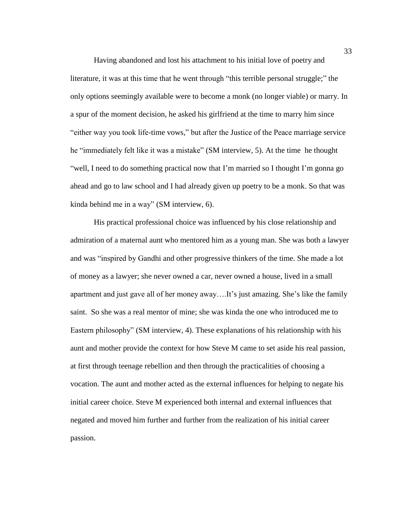Having abandoned and lost his attachment to his initial love of poetry and literature, it was at this time that he went through "this terrible personal struggle;" the only options seemingly available were to become a monk (no longer viable) or marry. In a spur of the moment decision, he asked his girlfriend at the time to marry him since "either way you took life-time vows," but after the Justice of the Peace marriage service he "immediately felt like it was a mistake" (SM interview, 5). At the time he thought "well, I need to do something practical now that I'm married so I thought I'm gonna go ahead and go to law school and I had already given up poetry to be a monk. So that was kinda behind me in a way" (SM interview, 6).

His practical professional choice was influenced by his close relationship and admiration of a maternal aunt who mentored him as a young man. She was both a lawyer and was "inspired by Gandhi and other progressive thinkers of the time. She made a lot of money as a lawyer; she never owned a car, never owned a house, lived in a small apartment and just gave all of her money away….It's just amazing. She's like the family saint. So she was a real mentor of mine; she was kinda the one who introduced me to Eastern philosophy" (SM interview, 4). These explanations of his relationship with his aunt and mother provide the context for how Steve M came to set aside his real passion, at first through teenage rebellion and then through the practicalities of choosing a vocation. The aunt and mother acted as the external influences for helping to negate his initial career choice. Steve M experienced both internal and external influences that negated and moved him further and further from the realization of his initial career passion.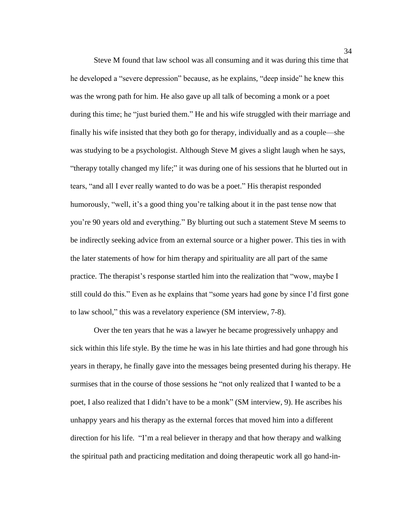Steve M found that law school was all consuming and it was during this time that he developed a "severe depression" because, as he explains, "deep inside" he knew this was the wrong path for him. He also gave up all talk of becoming a monk or a poet during this time; he "just buried them." He and his wife struggled with their marriage and finally his wife insisted that they both go for therapy, individually and as a couple—she was studying to be a psychologist. Although Steve M gives a slight laugh when he says, "therapy totally changed my life;" it was during one of his sessions that he blurted out in tears, "and all I ever really wanted to do was be a poet." His therapist responded humorously, "well, it's a good thing you're talking about it in the past tense now that you're 90 years old and everything." By blurting out such a statement Steve M seems to be indirectly seeking advice from an external source or a higher power. This ties in with the later statements of how for him therapy and spirituality are all part of the same practice. The therapist's response startled him into the realization that "wow, maybe I still could do this." Even as he explains that "some years had gone by since I'd first gone to law school," this was a revelatory experience (SM interview, 7-8).

Over the ten years that he was a lawyer he became progressively unhappy and sick within this life style. By the time he was in his late thirties and had gone through his years in therapy, he finally gave into the messages being presented during his therapy. He surmises that in the course of those sessions he "not only realized that I wanted to be a poet, I also realized that I didn't have to be a monk" (SM interview, 9). He ascribes his unhappy years and his therapy as the external forces that moved him into a different direction for his life. "I'm a real believer in therapy and that how therapy and walking the spiritual path and practicing meditation and doing therapeutic work all go hand-in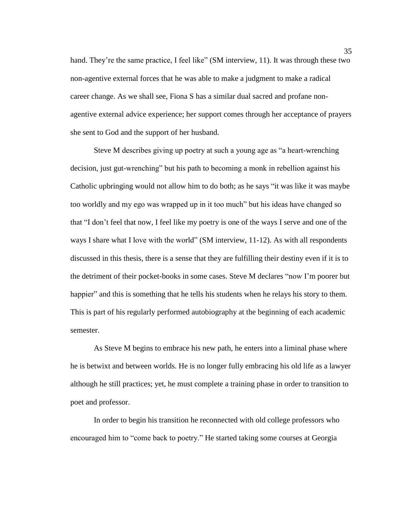hand. They're the same practice, I feel like" (SM interview, 11). It was through these two non-agentive external forces that he was able to make a judgment to make a radical career change. As we shall see, Fiona S has a similar dual sacred and profane nonagentive external advice experience; her support comes through her acceptance of prayers she sent to God and the support of her husband.

Steve M describes giving up poetry at such a young age as "a heart-wrenching decision, just gut-wrenching" but his path to becoming a monk in rebellion against his Catholic upbringing would not allow him to do both; as he says "it was like it was maybe too worldly and my ego was wrapped up in it too much" but his ideas have changed so that "I don't feel that now, I feel like my poetry is one of the ways I serve and one of the ways I share what I love with the world" (SM interview, 11-12). As with all respondents discussed in this thesis, there is a sense that they are fulfilling their destiny even if it is to the detriment of their pocket-books in some cases. Steve M declares "now I'm poorer but happier" and this is something that he tells his students when he relays his story to them. This is part of his regularly performed autobiography at the beginning of each academic semester.

As Steve M begins to embrace his new path, he enters into a liminal phase where he is betwixt and between worlds. He is no longer fully embracing his old life as a lawyer although he still practices; yet, he must complete a training phase in order to transition to poet and professor.

In order to begin his transition he reconnected with old college professors who encouraged him to "come back to poetry." He started taking some courses at Georgia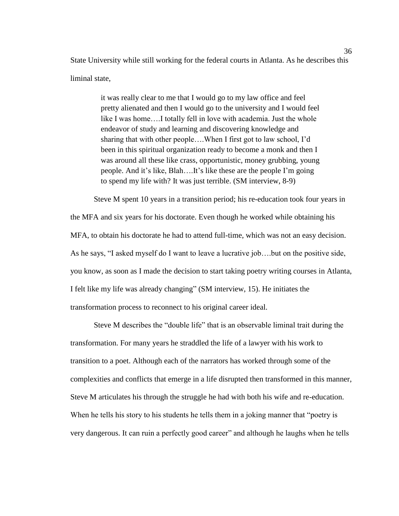State University while still working for the federal courts in Atlanta. As he describes this liminal state,

> it was really clear to me that I would go to my law office and feel pretty alienated and then I would go to the university and I would feel like I was home….I totally fell in love with academia. Just the whole endeavor of study and learning and discovering knowledge and sharing that with other people….When I first got to law school, I'd been in this spiritual organization ready to become a monk and then I was around all these like crass, opportunistic, money grubbing, young people. And it's like, Blah….It's like these are the people I'm going to spend my life with? It was just terrible. (SM interview, 8-9)

Steve M spent 10 years in a transition period; his re-education took four years in the MFA and six years for his doctorate. Even though he worked while obtaining his MFA, to obtain his doctorate he had to attend full-time, which was not an easy decision. As he says, "I asked myself do I want to leave a lucrative job….but on the positive side, you know, as soon as I made the decision to start taking poetry writing courses in Atlanta, I felt like my life was already changing" (SM interview, 15). He initiates the transformation process to reconnect to his original career ideal.

Steve M describes the "double life" that is an observable liminal trait during the transformation. For many years he straddled the life of a lawyer with his work to transition to a poet. Although each of the narrators has worked through some of the complexities and conflicts that emerge in a life disrupted then transformed in this manner, Steve M articulates his through the struggle he had with both his wife and re-education. When he tells his story to his students he tells them in a joking manner that "poetry is very dangerous. It can ruin a perfectly good career" and although he laughs when he tells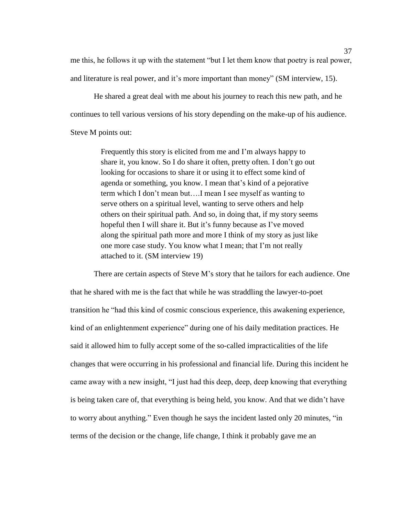me this, he follows it up with the statement "but I let them know that poetry is real power, and literature is real power, and it's more important than money" (SM interview, 15).

He shared a great deal with me about his journey to reach this new path, and he continues to tell various versions of his story depending on the make-up of his audience. Steve M points out:

> Frequently this story is elicited from me and I'm always happy to share it, you know. So I do share it often, pretty often. I don't go out looking for occasions to share it or using it to effect some kind of agenda or something, you know. I mean that's kind of a pejorative term which I don't mean but….I mean I see myself as wanting to serve others on a spiritual level, wanting to serve others and help others on their spiritual path. And so, in doing that, if my story seems hopeful then I will share it. But it's funny because as I've moved along the spiritual path more and more I think of my story as just like one more case study. You know what I mean; that I'm not really attached to it. (SM interview 19)

There are certain aspects of Steve M's story that he tailors for each audience. One that he shared with me is the fact that while he was straddling the lawyer-to-poet transition he "had this kind of cosmic conscious experience, this awakening experience, kind of an enlightenment experience" during one of his daily meditation practices. He said it allowed him to fully accept some of the so-called impracticalities of the life changes that were occurring in his professional and financial life. During this incident he came away with a new insight, "I just had this deep, deep, deep knowing that everything is being taken care of, that everything is being held, you know. And that we didn't have to worry about anything." Even though he says the incident lasted only 20 minutes, "in terms of the decision or the change, life change, I think it probably gave me an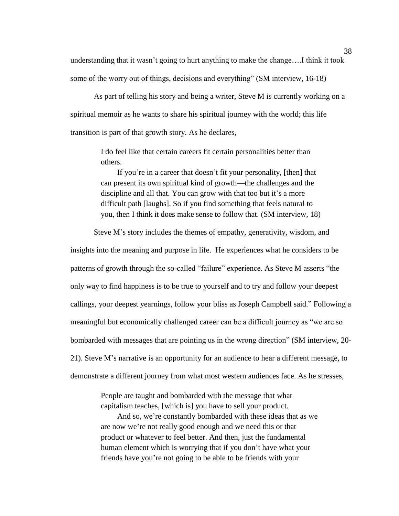understanding that it wasn't going to hurt anything to make the change….I think it took some of the worry out of things, decisions and everything" (SM interview, 16-18)

As part of telling his story and being a writer, Steve M is currently working on a spiritual memoir as he wants to share his spiritual journey with the world; this life transition is part of that growth story. As he declares,

> I do feel like that certain careers fit certain personalities better than others.

If you're in a career that doesn't fit your personality, [then] that can present its own spiritual kind of growth—the challenges and the discipline and all that. You can grow with that too but it's a more difficult path [laughs]. So if you find something that feels natural to you, then I think it does make sense to follow that. (SM interview, 18)

Steve M's story includes the themes of empathy, generativity, wisdom, and insights into the meaning and purpose in life. He experiences what he considers to be patterns of growth through the so-called "failure" experience. As Steve M asserts "the only way to find happiness is to be true to yourself and to try and follow your deepest callings, your deepest yearnings, follow your bliss as Joseph Campbell said." Following a meaningful but economically challenged career can be a difficult journey as "we are so bombarded with messages that are pointing us in the wrong direction" (SM interview, 20- 21). Steve M's narrative is an opportunity for an audience to hear a different message, to demonstrate a different journey from what most western audiences face. As he stresses,

> People are taught and bombarded with the message that what capitalism teaches, [which is] you have to sell your product.

And so, we're constantly bombarded with these ideas that as we are now we're not really good enough and we need this or that product or whatever to feel better. And then, just the fundamental human element which is worrying that if you don't have what your friends have you're not going to be able to be friends with your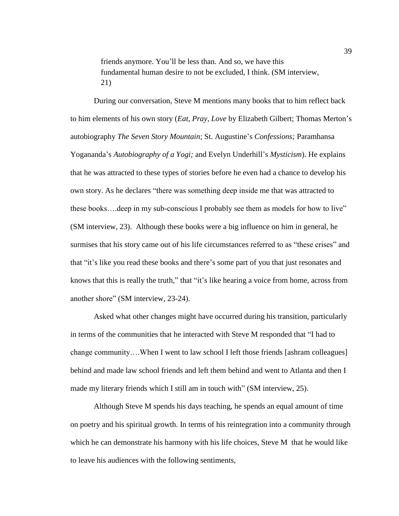friends anymore. You'll be less than. And so, we have this fundamental human desire to not be excluded, I think. (SM interview, 21)

During our conversation, Steve M mentions many books that to him reflect back to him elements of his own story (*Eat, Pray, Love* by Elizabeth Gilbert; Thomas Merton's autobiography *The Seven Story Mountain*; St. Augustine's *Confessions;* Paramhansa Yogananda's *Autobiography of a Yogi;* and Evelyn Underhill's *Mysticism*). He explains that he was attracted to these types of stories before he even had a chance to develop his own story. As he declares "there was something deep inside me that was attracted to these books….deep in my sub-conscious I probably see them as models for how to live" (SM interview, 23). Although these books were a big influence on him in general, he surmises that his story came out of his life circumstances referred to as "these crises" and that "it's like you read these books and there's some part of you that just resonates and knows that this is really the truth," that "it's like hearing a voice from home, across from another shore" (SM interview, 23-24).

Asked what other changes might have occurred during his transition, particularly in terms of the communities that he interacted with Steve M responded that "I had to change community….When I went to law school I left those friends [ashram colleagues] behind and made law school friends and left them behind and went to Atlanta and then I made my literary friends which I still am in touch with" (SM interview, 25).

Although Steve M spends his days teaching, he spends an equal amount of time on poetry and his spiritual growth. In terms of his reintegration into a community through which he can demonstrate his harmony with his life choices, Steve M that he would like to leave his audiences with the following sentiments,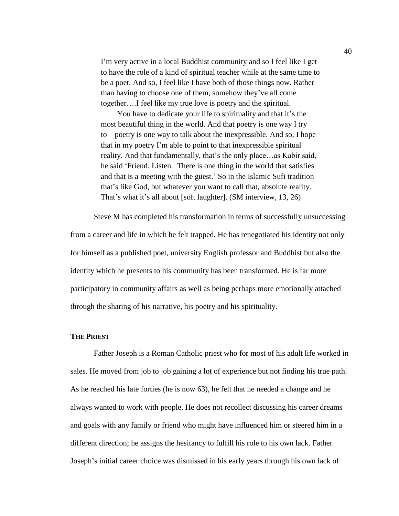I'm very active in a local Buddhist community and so I feel like I get to have the role of a kind of spiritual teacher while at the same time to be a poet. And so, I feel like I have both of those things now. Rather than having to choose one of them, somehow they've all come together….I feel like my true love is poetry and the spiritual.

You have to dedicate your life to spirituality and that it's the most beautiful thing in the world. And that poetry is one way I try to—poetry is one way to talk about the inexpressible. And so, I hope that in my poetry I'm able to point to that inexpressible spiritual reality. And that fundamentally, that's the only place... as Kabir said, he said 'Friend. Listen. There is one thing in the world that satisfies and that is a meeting with the guest.' So in the Islamic Sufi tradition that's like God, but whatever you want to call that, absolute reality. That's what it's all about [soft laughter]. (SM interview, 13, 26)

Steve M has completed his transformation in terms of successfully unsuccessing from a career and life in which he felt trapped. He has renegotiated his identity not only for himself as a published poet, university English professor and Buddhist but also the identity which he presents to his community has been transformed. He is far more participatory in community affairs as well as being perhaps more emotionally attached through the sharing of his narrative, his poetry and his spirituality.

# **THE PRIEST**

Father Joseph is a Roman Catholic priest who for most of his adult life worked in sales. He moved from job to job gaining a lot of experience but not finding his true path. As he reached his late forties (he is now 63), he felt that he needed a change and he always wanted to work with people. He does not recollect discussing his career dreams and goals with any family or friend who might have influenced him or steered him in a different direction; he assigns the hesitancy to fulfill his role to his own lack. Father Joseph's initial career choice was dismissed in his early years through his own lack of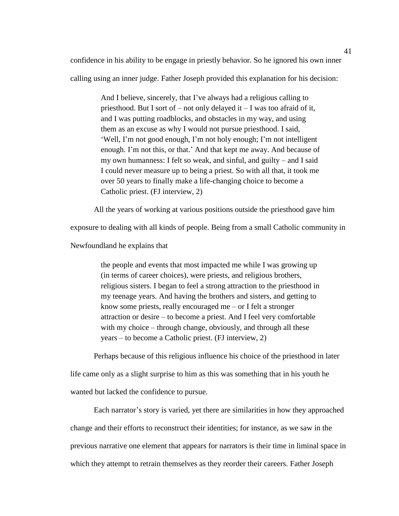confidence in his ability to be engage in priestly behavior. So he ignored his own inner calling using an inner judge. Father Joseph provided this explanation for his decision:

> And I believe, sincerely, that I've always had a religious calling to priesthood. But I sort of – not only delayed it – I was too afraid of it, and I was putting roadblocks, and obstacles in my way, and using them as an excuse as why I would not pursue priesthood. I said, 'Well, I'm not good enough, I'm not holy enough; I'm not intelligent enough. I'm not this, or that.' And that kept me away. And because of my own humanness: I felt so weak, and sinful, and guilty – and I said I could never measure up to being a priest. So with all that, it took me over 50 years to finally make a life-changing choice to become a Catholic priest. (FJ interview, 2)

All the years of working at various positions outside the priesthood gave him

exposure to dealing with all kinds of people. Being from a small Catholic community in

Newfoundland he explains that

the people and events that most impacted me while I was growing up (in terms of career choices), were priests, and religious brothers, religious sisters. I began to feel a strong attraction to the priesthood in my teenage years. And having the brothers and sisters, and getting to know some priests, really encouraged me – or I felt a stronger attraction or desire – to become a priest. And I feel very comfortable with my choice – through change, obviously, and through all these years – to become a Catholic priest. (FJ interview, 2)

Perhaps because of this religious influence his choice of the priesthood in later life came only as a slight surprise to him as this was something that in his youth he wanted but lacked the confidence to pursue.

Each narrator's story is varied, yet there are similarities in how they approached change and their efforts to reconstruct their identities; for instance, as we saw in the previous narrative one element that appears for narrators is their time in liminal space in which they attempt to retrain themselves as they reorder their careers. Father Joseph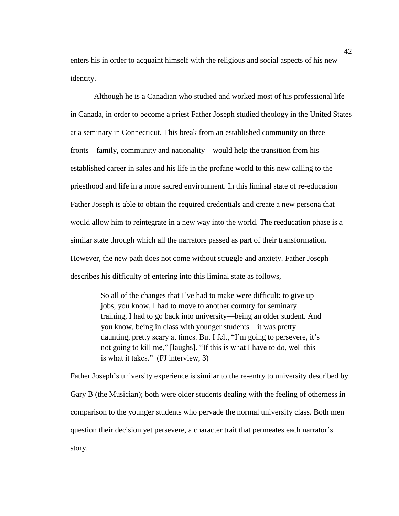enters his in order to acquaint himself with the religious and social aspects of his new identity.

Although he is a Canadian who studied and worked most of his professional life in Canada, in order to become a priest Father Joseph studied theology in the United States at a seminary in Connecticut. This break from an established community on three fronts—family, community and nationality—would help the transition from his established career in sales and his life in the profane world to this new calling to the priesthood and life in a more sacred environment. In this liminal state of re-education Father Joseph is able to obtain the required credentials and create a new persona that would allow him to reintegrate in a new way into the world. The reeducation phase is a similar state through which all the narrators passed as part of their transformation. However, the new path does not come without struggle and anxiety. Father Joseph describes his difficulty of entering into this liminal state as follows,

> So all of the changes that I've had to make were difficult: to give up jobs, you know, I had to move to another country for seminary training, I had to go back into university—being an older student. And you know, being in class with younger students – it was pretty daunting, pretty scary at times. But I felt, "I'm going to persevere, it's not going to kill me," [laughs]. "If this is what I have to do, well this is what it takes." (FJ interview, 3)

Father Joseph's university experience is similar to the re-entry to university described by Gary B (the Musician); both were older students dealing with the feeling of otherness in comparison to the younger students who pervade the normal university class. Both men question their decision yet persevere, a character trait that permeates each narrator's story.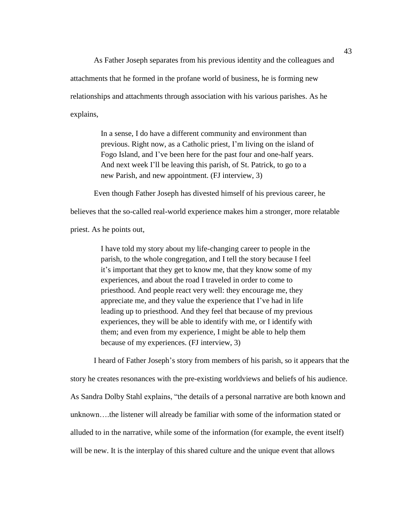As Father Joseph separates from his previous identity and the colleagues and attachments that he formed in the profane world of business, he is forming new relationships and attachments through association with his various parishes. As he explains,

> In a sense, I do have a different community and environment than previous. Right now, as a Catholic priest, I'm living on the island of Fogo Island, and I've been here for the past four and one-half years. And next week I'll be leaving this parish, of St. Patrick, to go to a new Parish, and new appointment. (FJ interview, 3)

Even though Father Joseph has divested himself of his previous career, he believes that the so-called real-world experience makes him a stronger, more relatable priest. As he points out,

> I have told my story about my life-changing career to people in the parish, to the whole congregation, and I tell the story because I feel it's important that they get to know me, that they know some of my experiences, and about the road I traveled in order to come to priesthood. And people react very well: they encourage me, they appreciate me, and they value the experience that I've had in life leading up to priesthood. And they feel that because of my previous experiences, they will be able to identify with me, or I identify with them; and even from my experience, I might be able to help them because of my experiences. (FJ interview, 3)

I heard of Father Joseph's story from members of his parish, so it appears that the story he creates resonances with the pre-existing worldviews and beliefs of his audience. As Sandra Dolby Stahl explains, "the details of a personal narrative are both known and unknown….the listener will already be familiar with some of the information stated or alluded to in the narrative, while some of the information (for example, the event itself) will be new. It is the interplay of this shared culture and the unique event that allows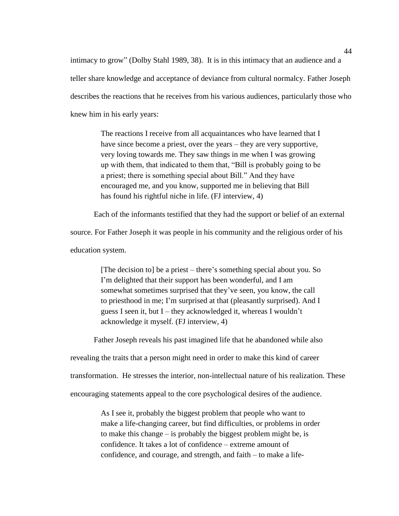intimacy to grow" (Dolby Stahl 1989, 38). It is in this intimacy that an audience and a teller share knowledge and acceptance of deviance from cultural normalcy. Father Joseph describes the reactions that he receives from his various audiences, particularly those who knew him in his early years:

> The reactions I receive from all acquaintances who have learned that I have since become a priest, over the years – they are very supportive, very loving towards me. They saw things in me when I was growing up with them, that indicated to them that, "Bill is probably going to be a priest; there is something special about Bill." And they have encouraged me, and you know, supported me in believing that Bill has found his rightful niche in life. (FJ interview, 4)

Each of the informants testified that they had the support or belief of an external

source. For Father Joseph it was people in his community and the religious order of his

education system.

[The decision to] be a priest – there's something special about you. So I'm delighted that their support has been wonderful, and I am somewhat sometimes surprised that they've seen, you know, the call to priesthood in me; I'm surprised at that (pleasantly surprised). And I guess I seen it, but I – they acknowledged it, whereas I wouldn't acknowledge it myself. (FJ interview, 4)

Father Joseph reveals his past imagined life that he abandoned while also

revealing the traits that a person might need in order to make this kind of career

transformation. He stresses the interior, non-intellectual nature of his realization. These

encouraging statements appeal to the core psychological desires of the audience.

As I see it, probably the biggest problem that people who want to make a life-changing career, but find difficulties, or problems in order to make this change – is probably the biggest problem might be, is confidence. It takes a lot of confidence – extreme amount of confidence, and courage, and strength, and faith – to make a life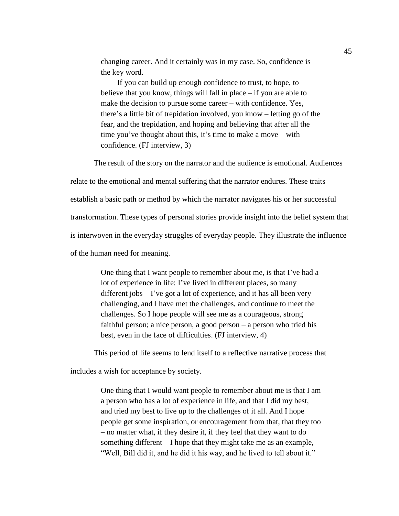changing career. And it certainly was in my case. So, confidence is the key word.

If you can build up enough confidence to trust, to hope, to believe that you know, things will fall in place – if you are able to make the decision to pursue some career – with confidence. Yes, there's a little bit of trepidation involved, you know – letting go of the fear, and the trepidation, and hoping and believing that after all the time you've thought about this, it's time to make a move – with confidence. (FJ interview, 3)

The result of the story on the narrator and the audience is emotional. Audiences

relate to the emotional and mental suffering that the narrator endures. These traits establish a basic path or method by which the narrator navigates his or her successful transformation. These types of personal stories provide insight into the belief system that is interwoven in the everyday struggles of everyday people. They illustrate the influence of the human need for meaning.

> One thing that I want people to remember about me, is that I've had a lot of experience in life: I've lived in different places, so many different jobs – I've got a lot of experience, and it has all been very challenging, and I have met the challenges, and continue to meet the challenges. So I hope people will see me as a courageous, strong faithful person; a nice person, a good person – a person who tried his best, even in the face of difficulties. (FJ interview, 4)

This period of life seems to lend itself to a reflective narrative process that

includes a wish for acceptance by society.

One thing that I would want people to remember about me is that I am a person who has a lot of experience in life, and that I did my best, and tried my best to live up to the challenges of it all. And I hope people get some inspiration, or encouragement from that, that they too – no matter what, if they desire it, if they feel that they want to do something different – I hope that they might take me as an example, "Well, Bill did it, and he did it his way, and he lived to tell about it."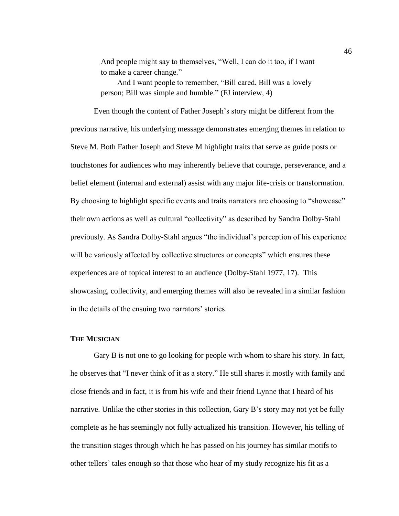And people might say to themselves, "Well, I can do it too, if I want to make a career change."

And I want people to remember, "Bill cared, Bill was a lovely person; Bill was simple and humble." (FJ interview, 4)

Even though the content of Father Joseph's story might be different from the previous narrative, his underlying message demonstrates emerging themes in relation to Steve M. Both Father Joseph and Steve M highlight traits that serve as guide posts or touchstones for audiences who may inherently believe that courage, perseverance, and a belief element (internal and external) assist with any major life-crisis or transformation. By choosing to highlight specific events and traits narrators are choosing to "showcase" their own actions as well as cultural "collectivity" as described by Sandra Dolby-Stahl previously. As Sandra Dolby-Stahl argues "the individual's perception of his experience will be variously affected by collective structures or concepts" which ensures these experiences are of topical interest to an audience (Dolby-Stahl 1977, 17). This showcasing, collectivity, and emerging themes will also be revealed in a similar fashion in the details of the ensuing two narrators' stories.

# **THE MUSICIAN**

Gary B is not one to go looking for people with whom to share his story. In fact, he observes that "I never think of it as a story." He still shares it mostly with family and close friends and in fact, it is from his wife and their friend Lynne that I heard of his narrative. Unlike the other stories in this collection, Gary B's story may not yet be fully complete as he has seemingly not fully actualized his transition. However, his telling of the transition stages through which he has passed on his journey has similar motifs to other tellers' tales enough so that those who hear of my study recognize his fit as a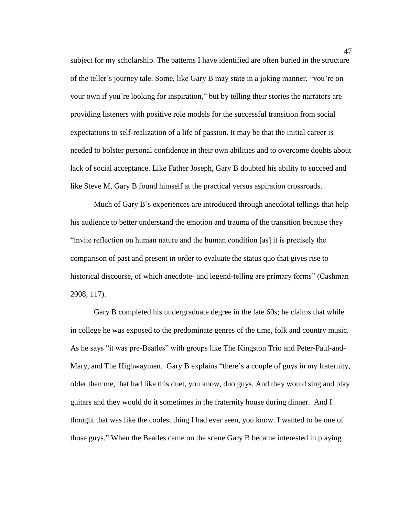subject for my scholarship. The patterns I have identified are often buried in the structure of the teller's journey tale. Some, like Gary B may state in a joking manner, "you're on your own if you're looking for inspiration," but by telling their stories the narrators are providing listeners with positive role models for the successful transition from social expectations to self-realization of a life of passion. It may be that the initial career is needed to bolster personal confidence in their own abilities and to overcome doubts about lack of social acceptance. Like Father Joseph, Gary B doubted his ability to succeed and like Steve M, Gary B found himself at the practical versus aspiration crossroads.

Much of Gary B's experiences are introduced through anecdotal tellings that help his audience to better understand the emotion and trauma of the transition because they "invite reflection on human nature and the human condition [as] it is precisely the comparison of past and present in order to evaluate the status quo that gives rise to historical discourse, of which anecdote- and legend-telling are primary forms" (Cashman 2008, 117).

Gary B completed his undergraduate degree in the late 60s; he claims that while in college he was exposed to the predominate genres of the time, folk and country music. As he says "it was pre-Beatles" with groups like The Kingston Trio and Peter-Paul-and-Mary, and The Highwaymen. Gary B explains "there's a couple of guys in my fraternity, older than me, that had like this duet, you know, duo guys. And they would sing and play guitars and they would do it sometimes in the fraternity house during dinner. And I thought that was like the coolest thing I had ever seen, you know. I wanted to be one of those guys." When the Beatles came on the scene Gary B became interested in playing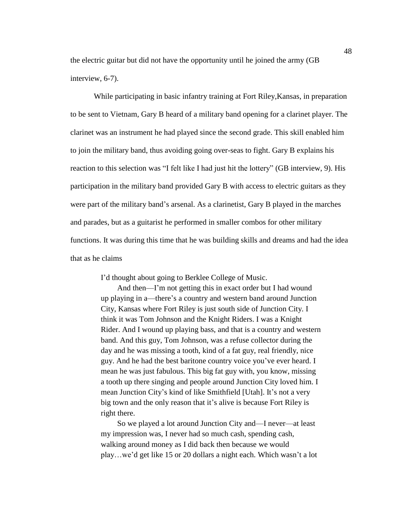the electric guitar but did not have the opportunity until he joined the army (GB interview, 6-7).

While participating in basic infantry training at Fort Riley,Kansas, in preparation to be sent to Vietnam, Gary B heard of a military band opening for a clarinet player. The clarinet was an instrument he had played since the second grade. This skill enabled him to join the military band, thus avoiding going over-seas to fight. Gary B explains his reaction to this selection was "I felt like I had just hit the lottery" (GB interview, 9). His participation in the military band provided Gary B with access to electric guitars as they were part of the military band's arsenal. As a clarinetist, Gary B played in the marches and parades, but as a guitarist he performed in smaller combos for other military functions. It was during this time that he was building skills and dreams and had the idea that as he claims

I'd thought about going to Berklee College of Music.

And then—I'm not getting this in exact order but I had wound up playing in a—there's a country and western band around Junction City, Kansas where Fort Riley is just south side of Junction City. I think it was Tom Johnson and the Knight Riders. I was a Knight Rider. And I wound up playing bass, and that is a country and western band. And this guy, Tom Johnson, was a refuse collector during the day and he was missing a tooth, kind of a fat guy, real friendly, nice guy. And he had the best baritone country voice you've ever heard. I mean he was just fabulous. This big fat guy with, you know, missing a tooth up there singing and people around Junction City loved him. I mean Junction City's kind of like Smithfield [Utah]. It's not a very big town and the only reason that it's alive is because Fort Riley is right there.

So we played a lot around Junction City and—I never—at least my impression was, I never had so much cash, spending cash, walking around money as I did back then because we would play…we'd get like 15 or 20 dollars a night each. Which wasn't a lot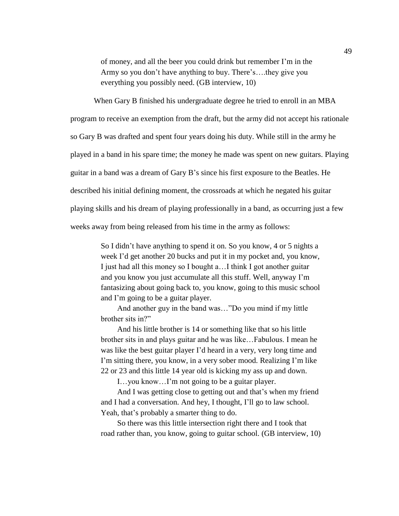of money, and all the beer you could drink but remember I'm in the Army so you don't have anything to buy. There's….they give you everything you possibly need. (GB interview, 10)

When Gary B finished his undergraduate degree he tried to enroll in an MBA program to receive an exemption from the draft, but the army did not accept his rationale so Gary B was drafted and spent four years doing his duty. While still in the army he played in a band in his spare time; the money he made was spent on new guitars. Playing guitar in a band was a dream of Gary B's since his first exposure to the Beatles. He described his initial defining moment, the crossroads at which he negated his guitar playing skills and his dream of playing professionally in a band, as occurring just a few weeks away from being released from his time in the army as follows:

> So I didn't have anything to spend it on. So you know, 4 or 5 nights a week I'd get another 20 bucks and put it in my pocket and, you know, I just had all this money so I bought a…I think I got another guitar and you know you just accumulate all this stuff. Well, anyway I'm fantasizing about going back to, you know, going to this music school and I'm going to be a guitar player.

And another guy in the band was…"Do you mind if my little brother sits in?"

And his little brother is 14 or something like that so his little brother sits in and plays guitar and he was like…Fabulous. I mean he was like the best guitar player I'd heard in a very, very long time and I'm sitting there, you know, in a very sober mood. Realizing I'm like 22 or 23 and this little 14 year old is kicking my ass up and down.

I…you know…I'm not going to be a guitar player.

And I was getting close to getting out and that's when my friend and I had a conversation. And hey, I thought, I'll go to law school. Yeah, that's probably a smarter thing to do.

So there was this little intersection right there and I took that road rather than, you know, going to guitar school. (GB interview, 10)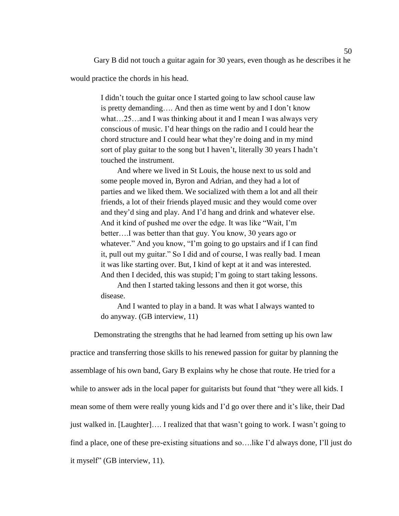Gary B did not touch a guitar again for 30 years, even though as he describes it he

would practice the chords in his head.

I didn't touch the guitar once I started going to law school cause law is pretty demanding…. And then as time went by and I don't know what…25…and I was thinking about it and I mean I was always very conscious of music. I'd hear things on the radio and I could hear the chord structure and I could hear what they're doing and in my mind sort of play guitar to the song but I haven't, literally 30 years I hadn't touched the instrument.

And where we lived in St Louis, the house next to us sold and some people moved in, Byron and Adrian, and they had a lot of parties and we liked them. We socialized with them a lot and all their friends, a lot of their friends played music and they would come over and they'd sing and play. And I'd hang and drink and whatever else. And it kind of pushed me over the edge. It was like "Wait, I'm better….I was better than that guy. You know, 30 years ago or whatever." And you know, "I'm going to go upstairs and if I can find it, pull out my guitar." So I did and of course, I was really bad. I mean it was like starting over. But, I kind of kept at it and was interested. And then I decided, this was stupid; I'm going to start taking lessons.

And then I started taking lessons and then it got worse, this disease.

And I wanted to play in a band. It was what I always wanted to do anyway. (GB interview, 11)

Demonstrating the strengths that he had learned from setting up his own law practice and transferring those skills to his renewed passion for guitar by planning the assemblage of his own band, Gary B explains why he chose that route. He tried for a while to answer ads in the local paper for guitarists but found that "they were all kids. I mean some of them were really young kids and I'd go over there and it's like, their Dad just walked in. [Laughter]…. I realized that that wasn't going to work. I wasn't going to find a place, one of these pre-existing situations and so….like I'd always done, I'll just do it myself" (GB interview, 11).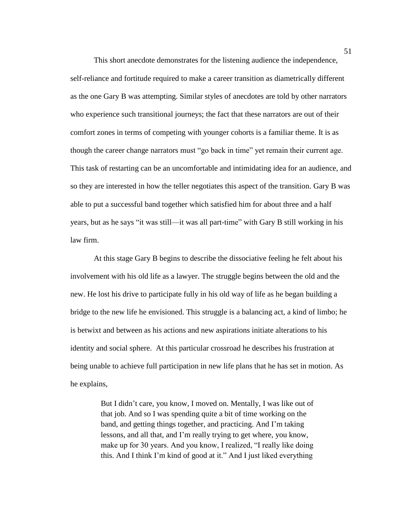This short anecdote demonstrates for the listening audience the independence, self-reliance and fortitude required to make a career transition as diametrically different as the one Gary B was attempting. Similar styles of anecdotes are told by other narrators who experience such transitional journeys; the fact that these narrators are out of their comfort zones in terms of competing with younger cohorts is a familiar theme. It is as though the career change narrators must "go back in time" yet remain their current age. This task of restarting can be an uncomfortable and intimidating idea for an audience, and so they are interested in how the teller negotiates this aspect of the transition. Gary B was able to put a successful band together which satisfied him for about three and a half years, but as he says "it was still—it was all part-time" with Gary B still working in his law firm.

At this stage Gary B begins to describe the dissociative feeling he felt about his involvement with his old life as a lawyer. The struggle begins between the old and the new. He lost his drive to participate fully in his old way of life as he began building a bridge to the new life he envisioned. This struggle is a balancing act, a kind of limbo; he is betwixt and between as his actions and new aspirations initiate alterations to his identity and social sphere. At this particular crossroad he describes his frustration at being unable to achieve full participation in new life plans that he has set in motion. As he explains,

> But I didn't care, you know, I moved on. Mentally, I was like out of that job. And so I was spending quite a bit of time working on the band, and getting things together, and practicing. And I'm taking lessons, and all that, and I'm really trying to get where, you know, make up for 30 years. And you know, I realized, "I really like doing this. And I think I'm kind of good at it." And I just liked everything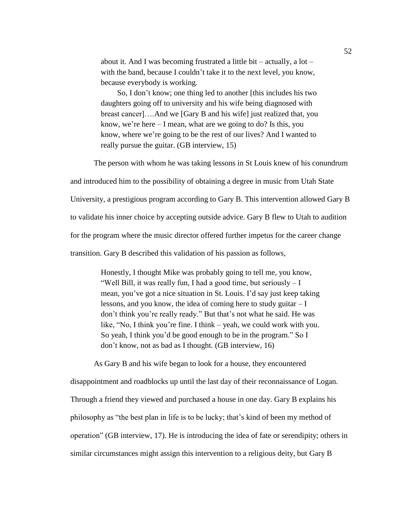about it. And I was becoming frustrated a little bit – actually, a lot – with the band, because I couldn't take it to the next level, you know, because everybody is working.

So, I don't know; one thing led to another [this includes his two daughters going off to university and his wife being diagnosed with breast cancer]….And we [Gary B and his wife] just realized that, you know, we're here – I mean, what are we going to do? Is this, you know, where we're going to be the rest of our lives? And I wanted to really pursue the guitar. (GB interview, 15)

The person with whom he was taking lessons in St Louis knew of his conundrum

and introduced him to the possibility of obtaining a degree in music from Utah State

University, a prestigious program according to Gary B. This intervention allowed Gary B

to validate his inner choice by accepting outside advice. Gary B flew to Utah to audition

for the program where the music director offered further impetus for the career change

transition. Gary B described this validation of his passion as follows,

Honestly, I thought Mike was probably going to tell me, you know, "Well Bill, it was really fun, I had a good time, but seriously  $-I$ mean, you've got a nice situation in St. Louis. I'd say just keep taking lessons, and you know, the idea of coming here to study guitar – I don't think you're really ready." But that's not what he said. He was like, "No, I think you're fine. I think – yeah, we could work with you. So yeah, I think you'd be good enough to be in the program." So I don't know, not as bad as I thought. (GB interview, 16)

As Gary B and his wife began to look for a house, they encountered disappointment and roadblocks up until the last day of their reconnaissance of Logan. Through a friend they viewed and purchased a house in one day. Gary B explains his philosophy as "the best plan in life is to be lucky; that's kind of been my method of operation" (GB interview, 17). He is introducing the idea of fate or serendipity; others in similar circumstances might assign this intervention to a religious deity, but Gary B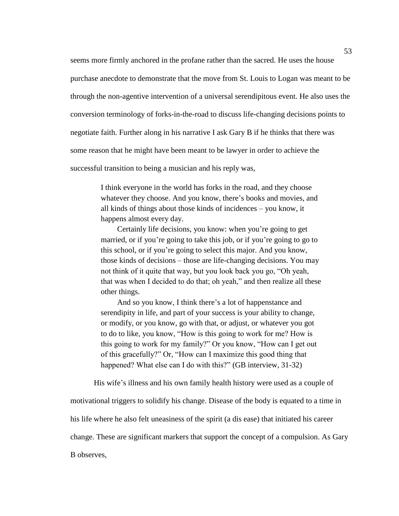seems more firmly anchored in the profane rather than the sacred. He uses the house purchase anecdote to demonstrate that the move from St. Louis to Logan was meant to be through the non-agentive intervention of a universal serendipitous event. He also uses the conversion terminology of forks-in-the-road to discuss life-changing decisions points to negotiate faith. Further along in his narrative I ask Gary B if he thinks that there was some reason that he might have been meant to be lawyer in order to achieve the successful transition to being a musician and his reply was,

> I think everyone in the world has forks in the road, and they choose whatever they choose. And you know, there's books and movies, and all kinds of things about those kinds of incidences – you know, it happens almost every day.

Certainly life decisions, you know: when you're going to get married, or if you're going to take this job, or if you're going to go to this school, or if you're going to select this major. And you know, those kinds of decisions – those are life-changing decisions. You may not think of it quite that way, but you look back you go, "Oh yeah, that was when I decided to do that; oh yeah," and then realize all these other things.

And so you know, I think there's a lot of happenstance and serendipity in life, and part of your success is your ability to change, or modify, or you know, go with that, or adjust, or whatever you got to do to like, you know, "How is this going to work for me? How is this going to work for my family?" Or you know, "How can I get out of this gracefully?" Or, "How can I maximize this good thing that happened? What else can I do with this?" (GB interview, 31-32)

His wife's illness and his own family health history were used as a couple of

motivational triggers to solidify his change. Disease of the body is equated to a time in

his life where he also felt uneasiness of the spirit (a dis ease) that initiated his career

change. These are significant markers that support the concept of a compulsion. As Gary

B observes,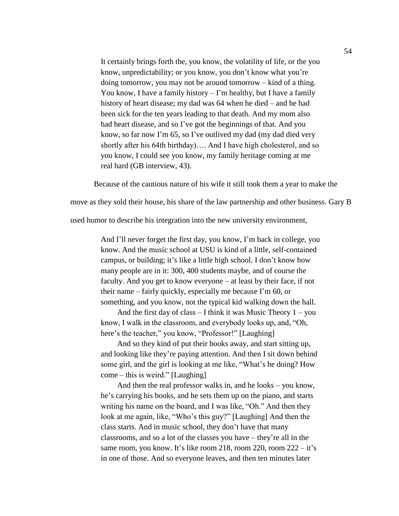It certainly brings forth the, you know, the volatility of life, or the you know, unpredictability; or you know, you don't know what you're doing tomorrow, you may not be around tomorrow – kind of a thing. You know, I have a family history – I'm healthy, but I have a family history of heart disease; my dad was 64 when he died – and he had been sick for the ten years leading to that death. And my mom also had heart disease, and so I've got the beginnings of that. And you know, so far now I'm 65, so I've outlived my dad (my dad died very shortly after his 64th birthday)…. And I have high cholesterol, and so you know, I could see you know, my family heritage coming at me real hard (GB interview, 43).

Because of the cautious nature of his wife it still took them a year to make the

move as they sold their house, his share of the law partnership and other business. Gary B

used humor to describe his integration into the new university environment,

And I'll never forget the first day, you know, I'm back in college, you know. And the music school at USU is kind of a little, self-contained campus, or building; it's like a little high school. I don't know how many people are in it: 300, 400 students maybe, and of course the faculty. And you get to know everyone – at least by their face, if not their name – fairly quickly, especially me because I'm 60, or something, and you know, not the typical kid walking down the hall.

And the first day of class  $-$  I think it was Music Theory  $1 - you$ know, I walk in the classroom, and everybody looks up, and, "Oh, here's the teacher," you know, "Professor!" [Laughing]

And so they kind of put their books away, and start sitting up, and looking like they're paying attention. And then I sit down behind some girl, and the girl is looking at me like, "What's he doing? How come – this is weird." [Laughing]

And then the real professor walks in, and he looks – you know, he's carrying his books, and he sets them up on the piano, and starts writing his name on the board, and I was like, "Oh." And then they look at me again, like, "Who's this guy?" [Laughing] And then the class starts. And in music school, they don't have that many classrooms, and so a lot of the classes you have – they're all in the same room, you know. It's like room 218, room 220, room 222 – it's in one of those. And so everyone leaves, and then ten minutes later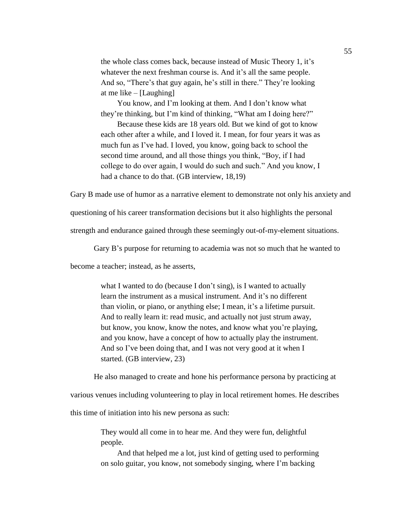the whole class comes back, because instead of Music Theory 1, it's whatever the next freshman course is. And it's all the same people. And so, "There's that guy again, he's still in there." They're looking at me like – [Laughing]

You know, and I'm looking at them. And I don't know what they're thinking, but I'm kind of thinking, "What am I doing here?"

Because these kids are 18 years old. But we kind of got to know each other after a while, and I loved it. I mean, for four years it was as much fun as I've had. I loved, you know, going back to school the second time around, and all those things you think, "Boy, if I had college to do over again, I would do such and such." And you know, I had a chance to do that. (GB interview, 18,19)

Gary B made use of humor as a narrative element to demonstrate not only his anxiety and

questioning of his career transformation decisions but it also highlights the personal

strength and endurance gained through these seemingly out-of-my-element situations.

Gary B's purpose for returning to academia was not so much that he wanted to

become a teacher; instead, as he asserts,

what I wanted to do (because I don't sing), is I wanted to actually learn the instrument as a musical instrument. And it's no different than violin, or piano, or anything else; I mean, it's a lifetime pursuit. And to really learn it: read music, and actually not just strum away, but know, you know, know the notes, and know what you're playing, and you know, have a concept of how to actually play the instrument. And so I've been doing that, and I was not very good at it when I started. (GB interview, 23)

He also managed to create and hone his performance persona by practicing at

various venues including volunteering to play in local retirement homes. He describes

this time of initiation into his new persona as such:

They would all come in to hear me. And they were fun, delightful people.

And that helped me a lot, just kind of getting used to performing on solo guitar, you know, not somebody singing, where I'm backing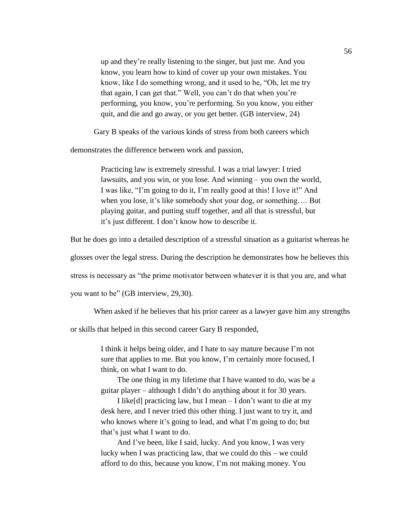up and they're really listening to the singer, but just me. And you know, you learn how to kind of cover up your own mistakes. You know, like I do something wrong, and it used to be, "Oh, let me try that again, I can get that." Well, you can't do that when you're performing, you know, you're performing. So you know, you either quit, and die and go away, or you get better. (GB interview, 24)

Gary B speaks of the various kinds of stress from both careers which

demonstrates the difference between work and passion,

Practicing law is extremely stressful. I was a trial lawyer: I tried lawsuits, and you win, or you lose. And winning – you own the world, I was like, "I'm going to do it, I'm really good at this! I love it!" And when you lose, it's like somebody shot your dog, or something…. But playing guitar, and putting stuff together, and all that is stressful, but it's just different. I don't know how to describe it.

But he does go into a detailed description of a stressful situation as a guitarist whereas he

glosses over the legal stress. During the description he demonstrates how he believes this

stress is necessary as "the prime motivator between whatever it is that you are, and what

you want to be" (GB interview, 29,30).

When asked if he believes that his prior career as a lawyer gave him any strengths

or skills that helped in this second career Gary B responded,

I think it helps being older, and I hate to say mature because I'm not sure that applies to me. But you know, I'm certainly more focused, I think, on what I want to do.

The one thing in my lifetime that I have wanted to do, was be a guitar player – although I didn't do anything about it for 30 years.

I like[d] practicing law, but I mean – I don't want to die at my desk here, and I never tried this other thing. I just want to try it, and who knows where it's going to lead, and what I'm going to do; but that's just what I want to do.

And I've been, like I said, lucky. And you know, I was very lucky when I was practicing law, that we could do this – we could afford to do this, because you know, I'm not making money. You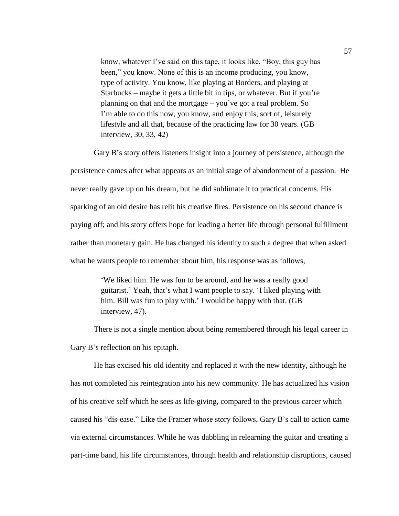know, whatever I've said on this tape, it looks like, "Boy, this guy has been," you know. None of this is an income producing, you know, type of activity. You know, like playing at Borders, and playing at Starbucks – maybe it gets a little bit in tips, or whatever. But if you're planning on that and the mortgage – you've got a real problem. So I'm able to do this now, you know, and enjoy this, sort of, leisurely lifestyle and all that, because of the practicing law for 30 years. (GB interview, 30, 33, 42)

Gary B's story offers listeners insight into a journey of persistence, although the persistence comes after what appears as an initial stage of abandonment of a passion. He never really gave up on his dream, but he did sublimate it to practical concerns. His sparking of an old desire has relit his creative fires. Persistence on his second chance is paying off; and his story offers hope for leading a better life through personal fulfillment rather than monetary gain. He has changed his identity to such a degree that when asked what he wants people to remember about him, his response was as follows,

> 'We liked him. He was fun to be around, and he was a really good guitarist.' Yeah, that's what I want people to say. 'I liked playing with him. Bill was fun to play with.' I would be happy with that. (GB interview, 47).

There is not a single mention about being remembered through his legal career in Gary B's reflection on his epitaph.

He has excised his old identity and replaced it with the new identity, although he has not completed his reintegration into his new community. He has actualized his vision of his creative self which he sees as life-giving, compared to the previous career which caused his "dis-ease." Like the Framer whose story follows, Gary B's call to action came via external circumstances. While he was dabbling in relearning the guitar and creating a part-time band, his life circumstances, through health and relationship disruptions, caused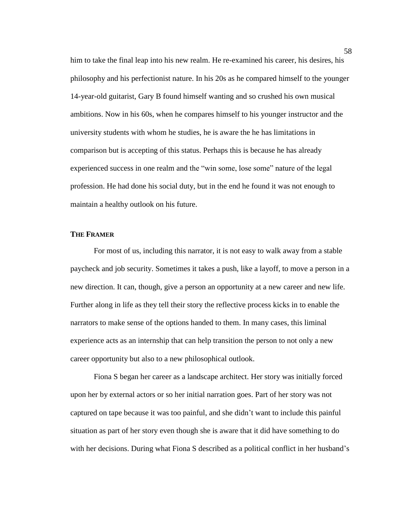him to take the final leap into his new realm. He re-examined his career, his desires, his philosophy and his perfectionist nature. In his 20s as he compared himself to the younger 14-year-old guitarist, Gary B found himself wanting and so crushed his own musical ambitions. Now in his 60s, when he compares himself to his younger instructor and the university students with whom he studies, he is aware the he has limitations in comparison but is accepting of this status. Perhaps this is because he has already experienced success in one realm and the "win some, lose some" nature of the legal profession. He had done his social duty, but in the end he found it was not enough to maintain a healthy outlook on his future.

## **THE FRAMER**

For most of us, including this narrator, it is not easy to walk away from a stable paycheck and job security. Sometimes it takes a push, like a layoff, to move a person in a new direction. It can, though, give a person an opportunity at a new career and new life. Further along in life as they tell their story the reflective process kicks in to enable the narrators to make sense of the options handed to them. In many cases, this liminal experience acts as an internship that can help transition the person to not only a new career opportunity but also to a new philosophical outlook.

Fiona S began her career as a landscape architect. Her story was initially forced upon her by external actors or so her initial narration goes. Part of her story was not captured on tape because it was too painful, and she didn't want to include this painful situation as part of her story even though she is aware that it did have something to do with her decisions. During what Fiona S described as a political conflict in her husband's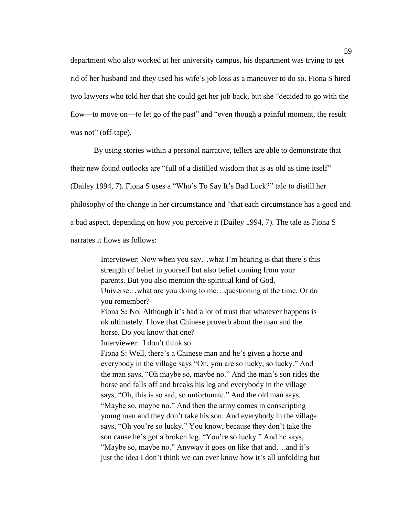department who also worked at her university campus, his department was trying to get rid of her husband and they used his wife's job loss as a maneuver to do so. Fiona S hired two lawyers who told her that she could get her job back, but she "decided to go with the flow—to move on—to let go of the past" and "even though a painful moment, the result was not" (off-tape).

By using stories within a personal narrative, tellers are able to demonstrate that their new found outlooks are "full of a distilled wisdom that is as old as time itself" (Dailey 1994, 7). Fiona S uses a "Who's To Say It's Bad Luck?" tale to distill her philosophy of the change in her circumstance and "that each circumstance has a good and a bad aspect, depending on how you perceive it (Dailey 1994, 7). The tale as Fiona S narrates it flows as follows:

> Interviewer: Now when you say…what I'm hearing is that there's this strength of belief in yourself but also belief coming from your parents. But you also mention the spiritual kind of God, Universe…what are you doing to me…questioning at the time. Or do you remember? Fiona S**:** No. Although it's had a lot of trust that whatever happens is ok ultimately. I love that Chinese proverb about the man and the horse. Do you know that one? Interviewer: I don't think so. Fiona S: Well, there's a Chinese man and he's given a horse and everybody in the village says "Oh, you are so lucky, so lucky." And the man says, "Oh maybe so, maybe no." And the man's son rides the horse and falls off and breaks his leg and everybody in the village says, "Oh, this is so sad, so unfortunate." And the old man says, "Maybe so, maybe no." And then the army comes in conscripting young men and they don't take his son. And everybody in the village says, "Oh you're so lucky." You know, because they don't take the son cause he's got a broken leg. "You're so lucky." And he says, "Maybe so, maybe no." Anyway it goes on like that and….and it's just the idea I don't think we can ever know how it's all unfolding but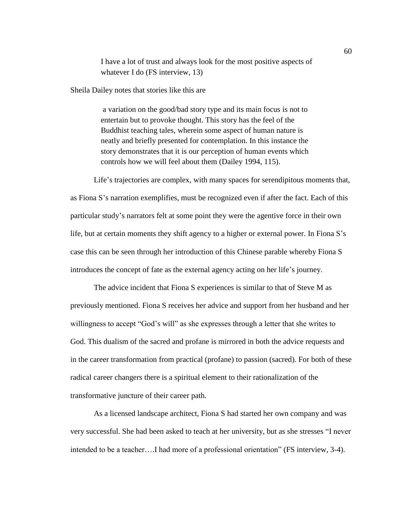I have a lot of trust and always look for the most positive aspects of whatever I do (FS interview, 13)

Sheila Dailey notes that stories like this are

a variation on the good/bad story type and its main focus is not to entertain but to provoke thought. This story has the feel of the Buddhist teaching tales, wherein some aspect of human nature is neatly and briefly presented for contemplation. In this instance the story demonstrates that it is our perception of human events which controls how we will feel about them (Dailey 1994, 115).

Life's trajectories are complex, with many spaces for serendipitous moments that, as Fiona S's narration exemplifies, must be recognized even if after the fact. Each of this particular study's narrators felt at some point they were the agentive force in their own life, but at certain moments they shift agency to a higher or external power. In Fiona S's case this can be seen through her introduction of this Chinese parable whereby Fiona S introduces the concept of fate as the external agency acting on her life's journey.

The advice incident that Fiona S experiences is similar to that of Steve M as previously mentioned. Fiona S receives her advice and support from her husband and her willingness to accept "God's will" as she expresses through a letter that she writes to God. This dualism of the sacred and profane is mirrored in both the advice requests and in the career transformation from practical (profane) to passion (sacred). For both of these radical career changers there is a spiritual element to their rationalization of the transformative juncture of their career path.

As a licensed landscape architect, Fiona S had started her own company and was very successful. She had been asked to teach at her university, but as she stresses "I never intended to be a teacher….I had more of a professional orientation" (FS interview, 3-4).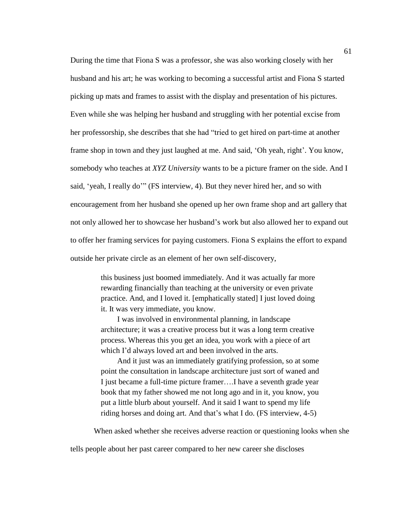During the time that Fiona S was a professor, she was also working closely with her husband and his art; he was working to becoming a successful artist and Fiona S started picking up mats and frames to assist with the display and presentation of his pictures. Even while she was helping her husband and struggling with her potential excise from her professorship, she describes that she had "tried to get hired on part-time at another frame shop in town and they just laughed at me. And said, 'Oh yeah, right'. You know, somebody who teaches at *XYZ University* wants to be a picture framer on the side. And I said, 'yeah, I really do'" (FS interview, 4). But they never hired her, and so with encouragement from her husband she opened up her own frame shop and art gallery that not only allowed her to showcase her husband's work but also allowed her to expand out to offer her framing services for paying customers. Fiona S explains the effort to expand outside her private circle as an element of her own self-discovery,

> this business just boomed immediately. And it was actually far more rewarding financially than teaching at the university or even private practice. And, and I loved it. [emphatically stated] I just loved doing it. It was very immediate, you know.

> I was involved in environmental planning, in landscape architecture; it was a creative process but it was a long term creative process. Whereas this you get an idea, you work with a piece of art which I'd always loved art and been involved in the arts.

And it just was an immediately gratifying profession, so at some point the consultation in landscape architecture just sort of waned and I just became a full-time picture framer….I have a seventh grade year book that my father showed me not long ago and in it, you know, you put a little blurb about yourself. And it said I want to spend my life riding horses and doing art. And that's what I do. (FS interview, 4-5)

When asked whether she receives adverse reaction or questioning looks when she

tells people about her past career compared to her new career she discloses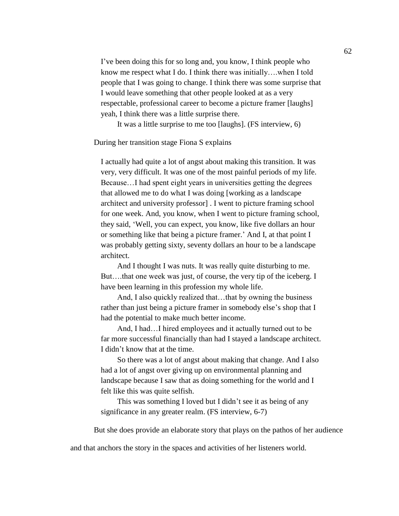I've been doing this for so long and, you know, I think people who know me respect what I do. I think there was initially….when I told people that I was going to change. I think there was some surprise that I would leave something that other people looked at as a very respectable, professional career to become a picture framer [laughs] yeah, I think there was a little surprise there.

It was a little surprise to me too [laughs]. (FS interview, 6)

During her transition stage Fiona S explains

I actually had quite a lot of angst about making this transition. It was very, very difficult. It was one of the most painful periods of my life. Because…I had spent eight years in universities getting the degrees that allowed me to do what I was doing [working as a landscape architect and university professor] . I went to picture framing school for one week. And, you know, when I went to picture framing school, they said, 'Well, you can expect, you know, like five dollars an hour or something like that being a picture framer.' And I, at that point I was probably getting sixty, seventy dollars an hour to be a landscape architect.

And I thought I was nuts. It was really quite disturbing to me. But….that one week was just, of course, the very tip of the iceberg. I have been learning in this profession my whole life.

And, I also quickly realized that…that by owning the business rather than just being a picture framer in somebody else's shop that I had the potential to make much better income.

And, I had…I hired employees and it actually turned out to be far more successful financially than had I stayed a landscape architect. I didn't know that at the time.

So there was a lot of angst about making that change. And I also had a lot of angst over giving up on environmental planning and landscape because I saw that as doing something for the world and I felt like this was quite selfish.

This was something I loved but I didn't see it as being of any significance in any greater realm. (FS interview, 6-7)

But she does provide an elaborate story that plays on the pathos of her audience

and that anchors the story in the spaces and activities of her listeners world.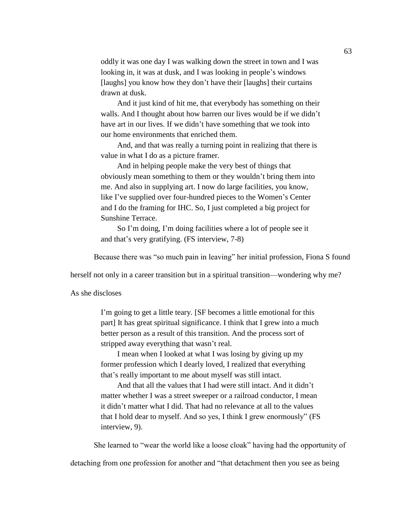oddly it was one day I was walking down the street in town and I was looking in, it was at dusk, and I was looking in people's windows [laughs] you know how they don't have their [laughs] their curtains drawn at dusk.

And it just kind of hit me, that everybody has something on their walls. And I thought about how barren our lives would be if we didn't have art in our lives. If we didn't have something that we took into our home environments that enriched them.

And, and that was really a turning point in realizing that there is value in what I do as a picture framer.

And in helping people make the very best of things that obviously mean something to them or they wouldn't bring them into me. And also in supplying art. I now do large facilities, you know, like I've supplied over four-hundred pieces to the Women's Center and I do the framing for IHC. So, I just completed a big project for Sunshine Terrace.

So I'm doing, I'm doing facilities where a lot of people see it and that's very gratifying. (FS interview, 7-8)

Because there was "so much pain in leaving" her initial profession, Fiona S found

herself not only in a career transition but in a spiritual transition—wondering why me?

As she discloses

I'm going to get a little teary. [SF becomes a little emotional for this part] It has great spiritual significance. I think that I grew into a much better person as a result of this transition. And the process sort of stripped away everything that wasn't real.

I mean when I looked at what I was losing by giving up my former profession which I dearly loved, I realized that everything that's really important to me about myself was still intact.

And that all the values that I had were still intact. And it didn't matter whether I was a street sweeper or a railroad conductor, I mean it didn't matter what I did. That had no relevance at all to the values that I hold dear to myself. And so yes, I think I grew enormously" (FS interview, 9).

She learned to "wear the world like a loose cloak" having had the opportunity of

detaching from one profession for another and "that detachment then you see as being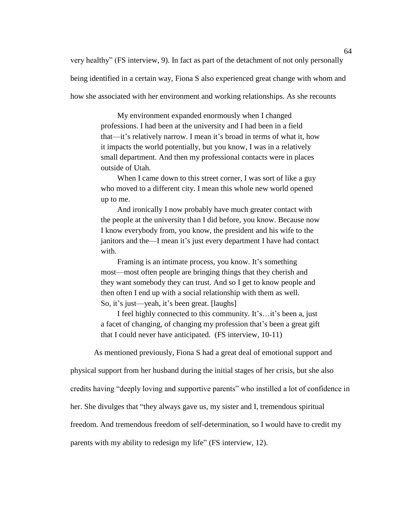very healthy" (FS interview, 9). In fact as part of the detachment of not only personally being identified in a certain way, Fiona S also experienced great change with whom and how she associated with her environment and working relationships. As she recounts

> My environment expanded enormously when I changed professions. I had been at the university and I had been in a field that—it's relatively narrow. I mean it's broad in terms of what it, how it impacts the world potentially, but you know, I was in a relatively small department. And then my professional contacts were in places outside of Utah.

When I came down to this street corner, I was sort of like a guy who moved to a different city. I mean this whole new world opened up to me.

And ironically I now probably have much greater contact with the people at the university than I did before, you know. Because now I know everybody from, you know, the president and his wife to the janitors and the—I mean it's just every department I have had contact with.

Framing is an intimate process, you know. It's something most—most often people are bringing things that they cherish and they want somebody they can trust. And so I get to know people and then often I end up with a social relationship with them as well. So, it's just—yeah, it's been great. [laughs]

I feel highly connected to this community. It's…it's been a, just a facet of changing, of changing my profession that's been a great gift that I could never have anticipated. (FS interview, 10-11)

As mentioned previously, Fiona S had a great deal of emotional support and

physical support from her husband during the initial stages of her crisis, but she also

credits having "deeply loving and supportive parents" who instilled a lot of confidence in

her. She divulges that "they always gave us, my sister and I, tremendous spiritual

freedom. And tremendous freedom of self-determination, so I would have to credit my

parents with my ability to redesign my life" (FS interview, 12).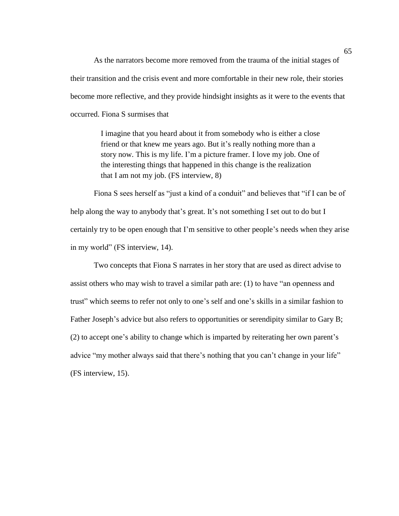As the narrators become more removed from the trauma of the initial stages of their transition and the crisis event and more comfortable in their new role, their stories become more reflective, and they provide hindsight insights as it were to the events that occurred. Fiona S surmises that

> I imagine that you heard about it from somebody who is either a close friend or that knew me years ago. But it's really nothing more than a story now. This is my life. I'm a picture framer. I love my job. One of the interesting things that happened in this change is the realization that I am not my job. (FS interview, 8)

Fiona S sees herself as "just a kind of a conduit" and believes that "if I can be of help along the way to anybody that's great. It's not something I set out to do but I certainly try to be open enough that I'm sensitive to other people's needs when they arise in my world" (FS interview, 14).

Two concepts that Fiona S narrates in her story that are used as direct advise to assist others who may wish to travel a similar path are: (1) to have "an openness and trust" which seems to refer not only to one's self and one's skills in a similar fashion to Father Joseph's advice but also refers to opportunities or serendipity similar to Gary B; (2) to accept one's ability to change which is imparted by reiterating her own parent's advice "my mother always said that there's nothing that you can't change in your life" (FS interview, 15).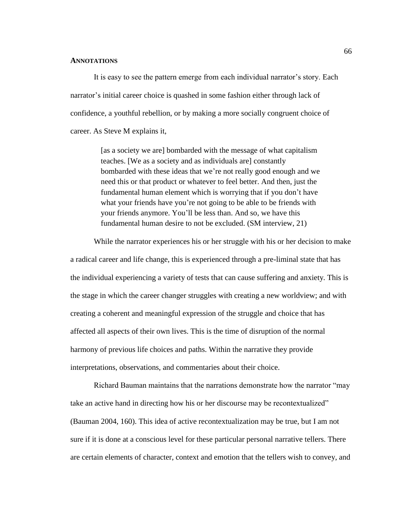#### **ANNOTATIONS**

It is easy to see the pattern emerge from each individual narrator's story. Each narrator's initial career choice is quashed in some fashion either through lack of confidence, a youthful rebellion, or by making a more socially congruent choice of career. As Steve M explains it,

> [as a society we are] bombarded with the message of what capitalism teaches. [We as a society and as individuals are] constantly bombarded with these ideas that we're not really good enough and we need this or that product or whatever to feel better. And then, just the fundamental human element which is worrying that if you don't have what your friends have you're not going to be able to be friends with your friends anymore. You'll be less than. And so, we have this fundamental human desire to not be excluded. (SM interview, 21)

While the narrator experiences his or her struggle with his or her decision to make a radical career and life change, this is experienced through a pre-liminal state that has the individual experiencing a variety of tests that can cause suffering and anxiety. This is the stage in which the career changer struggles with creating a new worldview; and with creating a coherent and meaningful expression of the struggle and choice that has affected all aspects of their own lives. This is the time of disruption of the normal harmony of previous life choices and paths. Within the narrative they provide interpretations, observations, and commentaries about their choice.

Richard Bauman maintains that the narrations demonstrate how the narrator "may take an active hand in directing how his or her discourse may be recontextualized" (Bauman 2004, 160). This idea of active recontextualization may be true, but I am not sure if it is done at a conscious level for these particular personal narrative tellers. There are certain elements of character, context and emotion that the tellers wish to convey, and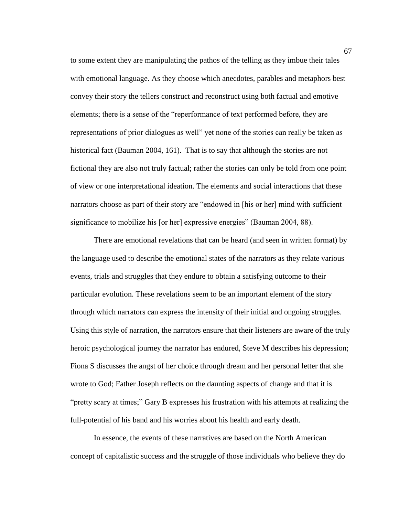to some extent they are manipulating the pathos of the telling as they imbue their tales with emotional language. As they choose which anecdotes, parables and metaphors best convey their story the tellers construct and reconstruct using both factual and emotive elements; there is a sense of the "reperformance of text performed before, they are representations of prior dialogues as well" yet none of the stories can really be taken as historical fact (Bauman 2004, 161). That is to say that although the stories are not fictional they are also not truly factual; rather the stories can only be told from one point of view or one interpretational ideation. The elements and social interactions that these narrators choose as part of their story are "endowed in [his or her] mind with sufficient significance to mobilize his [or her] expressive energies" (Bauman 2004, 88).

There are emotional revelations that can be heard (and seen in written format) by the language used to describe the emotional states of the narrators as they relate various events, trials and struggles that they endure to obtain a satisfying outcome to their particular evolution. These revelations seem to be an important element of the story through which narrators can express the intensity of their initial and ongoing struggles. Using this style of narration, the narrators ensure that their listeners are aware of the truly heroic psychological journey the narrator has endured, Steve M describes his depression; Fiona S discusses the angst of her choice through dream and her personal letter that she wrote to God; Father Joseph reflects on the daunting aspects of change and that it is "pretty scary at times;" Gary B expresses his frustration with his attempts at realizing the full-potential of his band and his worries about his health and early death.

In essence, the events of these narratives are based on the North American concept of capitalistic success and the struggle of those individuals who believe they do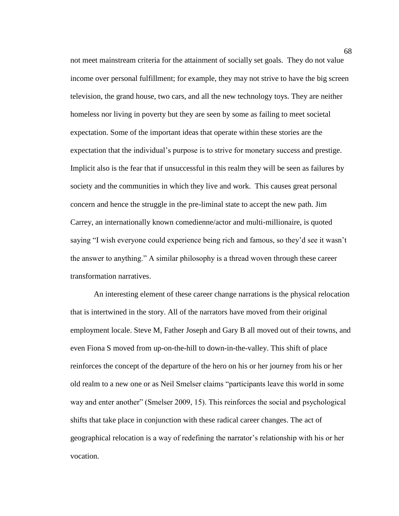not meet mainstream criteria for the attainment of socially set goals. They do not value income over personal fulfillment; for example, they may not strive to have the big screen television, the grand house, two cars, and all the new technology toys. They are neither homeless nor living in poverty but they are seen by some as failing to meet societal expectation. Some of the important ideas that operate within these stories are the expectation that the individual's purpose is to strive for monetary success and prestige. Implicit also is the fear that if unsuccessful in this realm they will be seen as failures by society and the communities in which they live and work. This causes great personal concern and hence the struggle in the pre-liminal state to accept the new path. Jim Carrey, an internationally known comedienne/actor and multi-millionaire, is quoted saying "I wish everyone could experience being rich and famous, so they'd see it wasn't the answer to anything." A similar philosophy is a thread woven through these career transformation narratives.

An interesting element of these career change narrations is the physical relocation that is intertwined in the story. All of the narrators have moved from their original employment locale. Steve M, Father Joseph and Gary B all moved out of their towns, and even Fiona S moved from up-on-the-hill to down-in-the-valley. This shift of place reinforces the concept of the departure of the hero on his or her journey from his or her old realm to a new one or as Neil Smelser claims "participants leave this world in some way and enter another" (Smelser 2009, 15). This reinforces the social and psychological shifts that take place in conjunction with these radical career changes. The act of geographical relocation is a way of redefining the narrator's relationship with his or her vocation.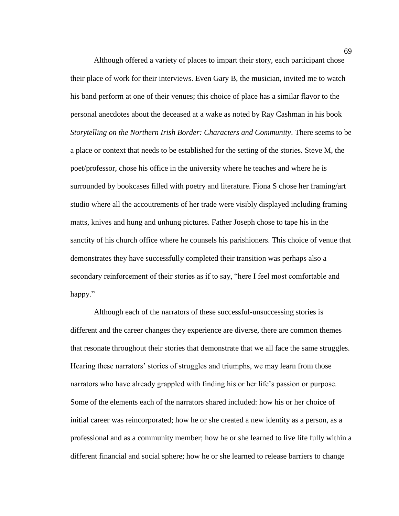Although offered a variety of places to impart their story, each participant chose their place of work for their interviews. Even Gary B, the musician, invited me to watch his band perform at one of their venues; this choice of place has a similar flavor to the personal anecdotes about the deceased at a wake as noted by Ray Cashman in his book *Storytelling on the Northern Irish Border: Characters and Community*. There seems to be a place or context that needs to be established for the setting of the stories. Steve M, the poet/professor, chose his office in the university where he teaches and where he is surrounded by bookcases filled with poetry and literature. Fiona S chose her framing/art studio where all the accoutrements of her trade were visibly displayed including framing matts, knives and hung and unhung pictures. Father Joseph chose to tape his in the sanctity of his church office where he counsels his parishioners. This choice of venue that demonstrates they have successfully completed their transition was perhaps also a secondary reinforcement of their stories as if to say, "here I feel most comfortable and happy."

Although each of the narrators of these successful-unsuccessing stories is different and the career changes they experience are diverse, there are common themes that resonate throughout their stories that demonstrate that we all face the same struggles. Hearing these narrators' stories of struggles and triumphs, we may learn from those narrators who have already grappled with finding his or her life's passion or purpose. Some of the elements each of the narrators shared included: how his or her choice of initial career was reincorporated; how he or she created a new identity as a person, as a professional and as a community member; how he or she learned to live life fully within a different financial and social sphere; how he or she learned to release barriers to change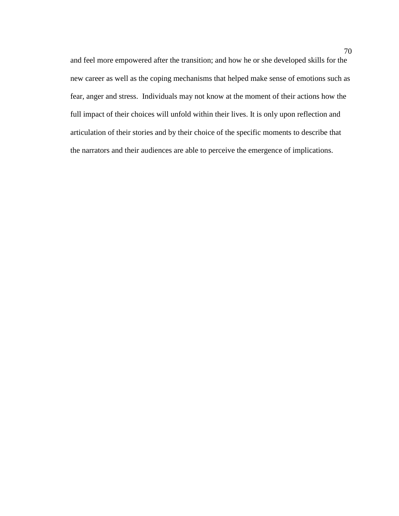and feel more empowered after the transition; and how he or she developed skills for the new career as well as the coping mechanisms that helped make sense of emotions such as fear, anger and stress. Individuals may not know at the moment of their actions how the full impact of their choices will unfold within their lives. It is only upon reflection and articulation of their stories and by their choice of the specific moments to describe that the narrators and their audiences are able to perceive the emergence of implications.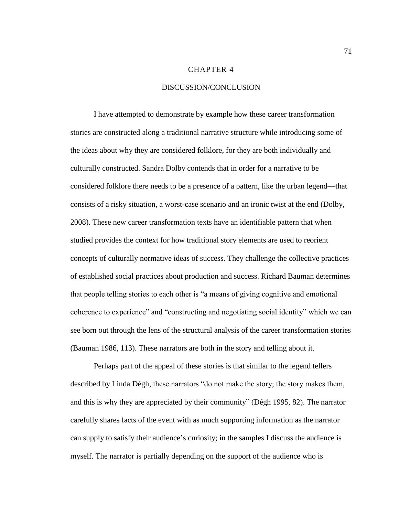#### CHAPTER 4

## DISCUSSION/CONCLUSION

I have attempted to demonstrate by example how these career transformation stories are constructed along a traditional narrative structure while introducing some of the ideas about why they are considered folklore, for they are both individually and culturally constructed. Sandra Dolby contends that in order for a narrative to be considered folklore there needs to be a presence of a pattern, like the urban legend—that consists of a risky situation, a worst-case scenario and an ironic twist at the end (Dolby, 2008). These new career transformation texts have an identifiable pattern that when studied provides the context for how traditional story elements are used to reorient concepts of culturally normative ideas of success. They challenge the collective practices of established social practices about production and success. Richard Bauman determines that people telling stories to each other is "a means of giving cognitive and emotional coherence to experience" and "constructing and negotiating social identity" which we can see born out through the lens of the structural analysis of the career transformation stories (Bauman 1986, 113). These narrators are both in the story and telling about it.

Perhaps part of the appeal of these stories is that similar to the legend tellers described by Linda Dégh, these narrators "do not make the story; the story makes them, and this is why they are appreciated by their community" (Dégh 1995, 82). The narrator carefully shares facts of the event with as much supporting information as the narrator can supply to satisfy their audience's curiosity; in the samples I discuss the audience is myself. The narrator is partially depending on the support of the audience who is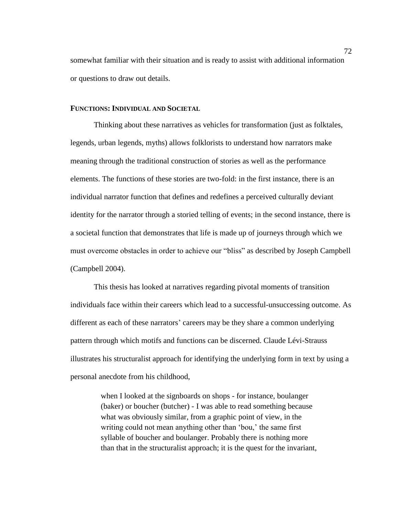somewhat familiar with their situation and is ready to assist with additional information or questions to draw out details.

### **FUNCTIONS: INDIVIDUAL AND SOCIETAL**

Thinking about these narratives as vehicles for transformation (just as folktales, legends, urban legends, myths) allows folklorists to understand how narrators make meaning through the traditional construction of stories as well as the performance elements. The functions of these stories are two-fold: in the first instance, there is an individual narrator function that defines and redefines a perceived culturally deviant identity for the narrator through a storied telling of events; in the second instance, there is a societal function that demonstrates that life is made up of journeys through which we must overcome obstacles in order to achieve our "bliss" as described by Joseph Campbell (Campbell 2004).

This thesis has looked at narratives regarding pivotal moments of transition individuals face within their careers which lead to a successful-unsuccessing outcome. As different as each of these narrators' careers may be they share a common underlying pattern through which motifs and functions can be discerned. Claude Lévi-Strauss illustrates his structuralist approach for identifying the underlying form in text by using a personal anecdote from his childhood,

> when I looked at the signboards on shops - for instance, boulanger (baker) or boucher (butcher) - I was able to read something because what was obviously similar, from a graphic point of view, in the writing could not mean anything other than 'bou,' the same first syllable of boucher and boulanger. Probably there is nothing more than that in the structuralist approach; it is the quest for the invariant,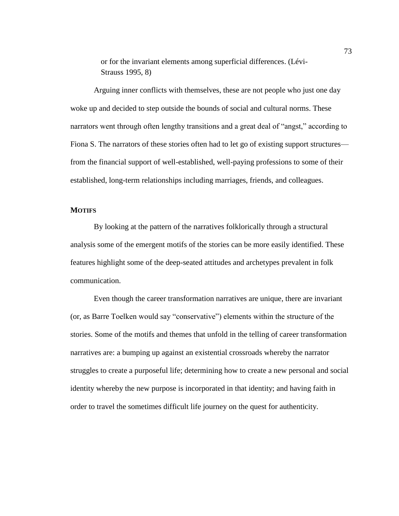or for the invariant elements among superficial differences. (Lévi-Strauss 1995, 8)

Arguing inner conflicts with themselves, these are not people who just one day woke up and decided to step outside the bounds of social and cultural norms. These narrators went through often lengthy transitions and a great deal of "angst," according to Fiona S. The narrators of these stories often had to let go of existing support structures from the financial support of well-established, well-paying professions to some of their established, long-term relationships including marriages, friends, and colleagues.

#### **MOTIFS**

By looking at the pattern of the narratives folklorically through a structural analysis some of the emergent motifs of the stories can be more easily identified. These features highlight some of the deep-seated attitudes and archetypes prevalent in folk communication.

Even though the career transformation narratives are unique, there are invariant (or, as Barre Toelken would say "conservative") elements within the structure of the stories. Some of the motifs and themes that unfold in the telling of career transformation narratives are: a bumping up against an existential crossroads whereby the narrator struggles to create a purposeful life; determining how to create a new personal and social identity whereby the new purpose is incorporated in that identity; and having faith in order to travel the sometimes difficult life journey on the quest for authenticity.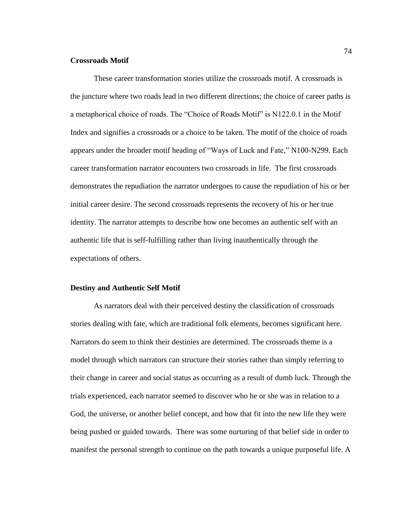#### **Crossroads Motif**

These career transformation stories utilize the crossroads motif. A crossroads is the juncture where two roads lead in two different directions; the choice of career paths is a metaphorical choice of roads. The "Choice of Roads Motif" is N122.0.1 in the Motif Index and signifies a crossroads or a choice to be taken. The motif of the choice of roads appears under the broader motif heading of "Ways of Luck and Fate," N100-N299. Each career transformation narrator encounters two crossroads in life. The first crossroads demonstrates the repudiation the narrator undergoes to cause the repudiation of his or her initial career desire. The second crossroads represents the recovery of his or her true identity. The narrator attempts to describe how one becomes an authentic self with an authentic life that is self-fulfilling rather than living inauthentically through the expectations of others.

#### **Destiny and Authentic Self Motif**

As narrators deal with their perceived destiny the classification of crossroads stories dealing with fate, which are traditional folk elements, becomes significant here. Narrators do seem to think their destinies are determined. The crossroads theme is a model through which narrators can structure their stories rather than simply referring to their change in career and social status as occurring as a result of dumb luck. Through the trials experienced, each narrator seemed to discover who he or she was in relation to a God, the universe, or another belief concept, and how that fit into the new life they were being pushed or guided towards. There was some nurturing of that belief side in order to manifest the personal strength to continue on the path towards a unique purposeful life. A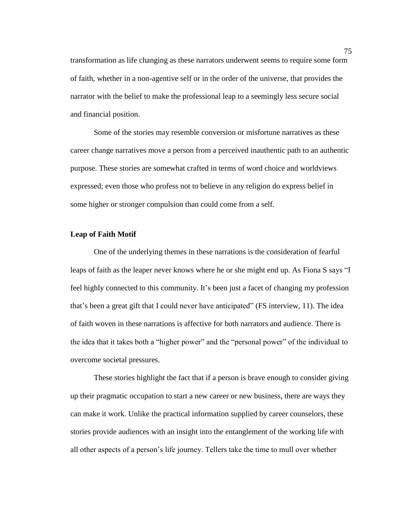transformation as life changing as these narrators underwent seems to require some form of faith, whether in a non-agentive self or in the order of the universe, that provides the narrator with the belief to make the professional leap to a seemingly less secure social and financial position.

Some of the stories may resemble conversion or misfortune narratives as these career change narratives move a person from a perceived inauthentic path to an authentic purpose. These stories are somewhat crafted in terms of word choice and worldviews expressed; even those who profess not to believe in any religion do express belief in some higher or stronger compulsion than could come from a self.

## **Leap of Faith Motif**

One of the underlying themes in these narrations is the consideration of fearful leaps of faith as the leaper never knows where he or she might end up. As Fiona S says "I feel highly connected to this community. It's been just a facet of changing my profession that's been a great gift that I could never have anticipated" (FS interview, 11). The idea of faith woven in these narrations is affective for both narrators and audience. There is the idea that it takes both a "higher power" and the "personal power" of the individual to overcome societal pressures.

These stories highlight the fact that if a person is brave enough to consider giving up their pragmatic occupation to start a new career or new business, there are ways they can make it work. Unlike the practical information supplied by career counselors, these stories provide audiences with an insight into the entanglement of the working life with all other aspects of a person's life journey. Tellers take the time to mull over whether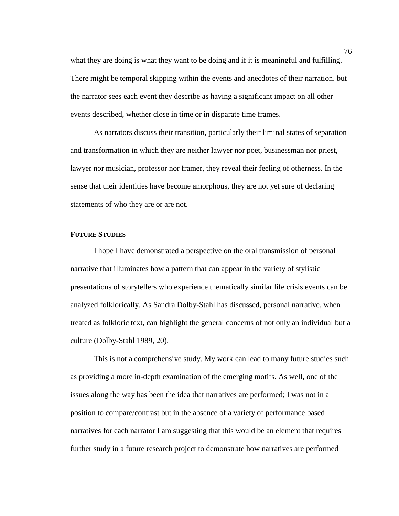what they are doing is what they want to be doing and if it is meaningful and fulfilling. There might be temporal skipping within the events and anecdotes of their narration, but the narrator sees each event they describe as having a significant impact on all other events described, whether close in time or in disparate time frames.

As narrators discuss their transition, particularly their liminal states of separation and transformation in which they are neither lawyer nor poet, businessman nor priest, lawyer nor musician, professor nor framer, they reveal their feeling of otherness. In the sense that their identities have become amorphous, they are not yet sure of declaring statements of who they are or are not.

#### **FUTURE STUDIES**

I hope I have demonstrated a perspective on the oral transmission of personal narrative that illuminates how a pattern that can appear in the variety of stylistic presentations of storytellers who experience thematically similar life crisis events can be analyzed folklorically. As Sandra Dolby-Stahl has discussed, personal narrative, when treated as folkloric text, can highlight the general concerns of not only an individual but a culture (Dolby-Stahl 1989, 20).

This is not a comprehensive study. My work can lead to many future studies such as providing a more in-depth examination of the emerging motifs. As well, one of the issues along the way has been the idea that narratives are performed; I was not in a position to compare/contrast but in the absence of a variety of performance based narratives for each narrator I am suggesting that this would be an element that requires further study in a future research project to demonstrate how narratives are performed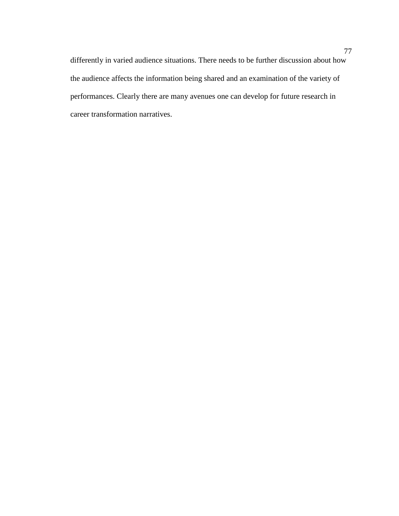differently in varied audience situations. There needs to be further discussion about how the audience affects the information being shared and an examination of the variety of performances. Clearly there are many avenues one can develop for future research in career transformation narratives.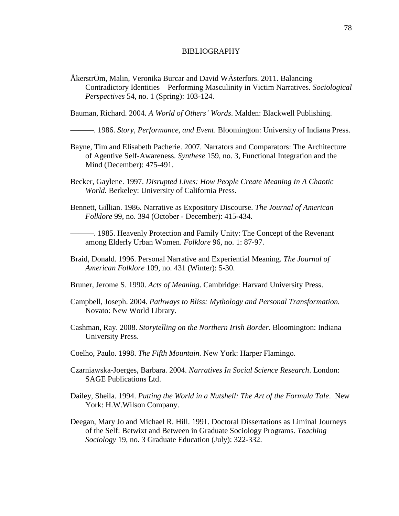#### BIBLIOGRAPHY

ÅkerstrÖm, Malin, Veronika Burcar and David WÄsterfors. 2011. Balancing Contradictory Identities—Performing Masculinity in Victim Narratives*. Sociological Perspectives* 54, no. 1 (Spring): 103-124.

Bauman, Richard. 2004. *A World of Others' Words*. Malden: Blackwell Publishing.

———. 1986. *Story, Performance, and Event*. Bloomington: University of Indiana Press.

- Bayne, Tim and Elisabeth Pacherie. 2007. Narrators and Comparators: The Architecture of Agentive Self-Awareness. *Synthese* 159, no. 3, Functional Integration and the Mind (December): 475-491.
- Becker, Gaylene. 1997. *Disrupted Lives: How People Create Meaning In A Chaotic World.* Berkeley: University of California Press.
- Bennett, Gillian. 1986. Narrative as Expository Discourse. *The Journal of American Folklore* 99, no. 394 (October - December): 415-434.

———. 1985. Heavenly Protection and Family Unity: The Concept of the Revenant among Elderly Urban Women. *Folklore* 96, no. 1: 87-97.

- Braid, Donald. 1996. Personal Narrative and Experiential Meaning. *The Journal of American Folklore* 109, no. 431 (Winter): 5-30.
- Bruner, Jerome S. 1990. *Acts of Meaning*. Cambridge: Harvard University Press.
- Campbell, Joseph. 2004. *Pathways to Bliss: Mythology and Personal Transformation.*  Novato: New World Library.
- Cashman, Ray. 2008. *Storytelling on the Northern Irish Border*. Bloomington: Indiana University Press.
- Coelho, Paulo. 1998. *The Fifth Mountain.* New York: Harper Flamingo.
- Czarniawska-Joerges, Barbara. 2004. *Narratives In Social Science Research*. London: SAGE Publications Ltd.
- Dailey, Sheila. 1994. *Putting the World in a Nutshell: The Art of the Formula Tale*. New York: H.W.Wilson Company.
- Deegan, Mary Jo and Michael R. Hill. 1991. Doctoral Dissertations as Liminal Journeys of the Self: Betwixt and Between in Graduate Sociology Programs. *Teaching Sociology* 19, no. 3 Graduate Education (July): 322-332.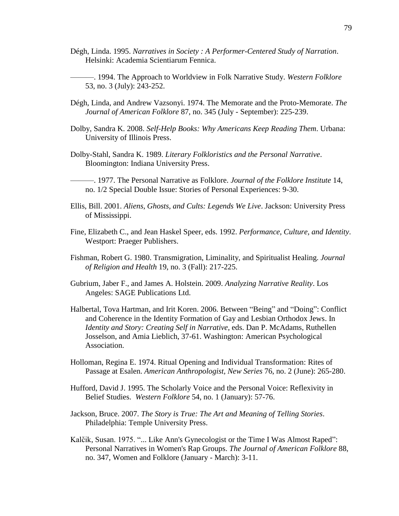- Dégh, Linda. 1995. *Narratives in Society : A Performer-Centered Study of Narration*. Helsinki: Academia Scientiarum Fennica.
- ———. 1994. The Approach to Worldview in Folk Narrative Study. *Western Folklore* 53, no. 3 (July): 243-252.
- Dégh, Linda, and Andrew Vazsonyi. 1974. The Memorate and the Proto-Memorate. *The Journal of American Folklore* 87, no. 345 (July - September): 225-239.
- Dolby, Sandra K. 2008. *Self-Help Books: Why Americans Keep Reading Them*. Urbana: University of Illinois Press.
- Dolby-Stahl, Sandra K. 1989. *Literary Folkloristics and the Personal Narrative*. Bloomington: Indiana University Press.
- ———. 1977. The Personal Narrative as Folklore. *Journal of the Folklore Institute* 14, no. 1/2 Special Double Issue: Stories of Personal Experiences: 9-30.
- Ellis, Bill. 2001. *Aliens, Ghosts, and Cults: Legends We Live*. Jackson: University Press of Mississippi.
- Fine, Elizabeth C., and Jean Haskel Speer, eds. 1992. *Performance, Culture, and Identity*. Westport: Praeger Publishers.
- Fishman, Robert G. 1980. Transmigration, Liminality, and Spiritualist Healing. *Journal of Religion and Health* 19, no. 3 (Fall): 217-225.
- Gubrium, Jaber F., and James A. Holstein. 2009. *Analyzing Narrative Reality*. Los Angeles: SAGE Publications Ltd.
- Halbertal, Tova Hartman, and Irit Koren. 2006. Between "Being" and "Doing": Conflict and Coherence in the Identity Formation of Gay and Lesbian Orthodox Jews. In *Identity and Story: Creating Self in Narrative*, eds. Dan P. McAdams, Ruthellen Josselson, and Amia Lieblich, 37-61. Washington: American Psychological Association.
- Holloman, Regina E. 1974. Ritual Opening and Individual Transformation: Rites of Passage at Esalen. *American Anthropologist, New Series* 76, no. 2 (June): 265-280.
- Hufford, David J. 1995. The Scholarly Voice and the Personal Voice: Reflexivity in Belief Studies. *Western Folklore* 54, no. 1 (January): 57-76.
- Jackson, Bruce. 2007. *The Story is True: The Art and Meaning of Telling Stories*. Philadelphia: Temple University Press.
- Kalčik, Susan. 1975. "... Like Ann's Gynecologist or the Time I Was Almost Raped": Personal Narratives in Women's Rap Groups. *The Journal of American Folklore* 88, no. 347, Women and Folklore (January - March): 3-11.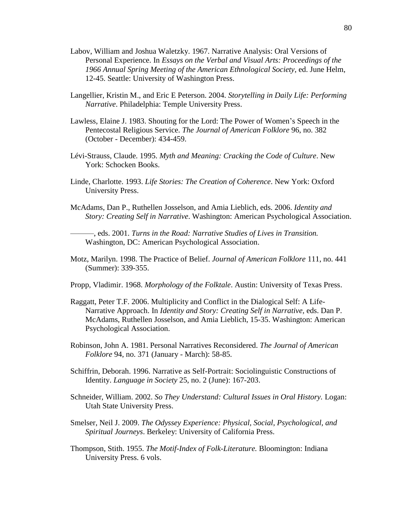- Labov, William and Joshua Waletzky. 1967. Narrative Analysis: Oral Versions of Personal Experience. In *Essays on the Verbal and Visual Arts: Proceedings of the 1966 Annual Spring Meeting of the American Ethnological Society*, ed. June Helm, 12-45. Seattle: University of Washington Press.
- Langellier, Kristin M., and Eric E Peterson. 2004. *Storytelling in Daily Life: Performing Narrative*. Philadelphia: Temple University Press.
- Lawless, Elaine J. 1983. Shouting for the Lord: The Power of Women's Speech in the Pentecostal Religious Service. *The Journal of American Folklore* 96, no. 382 (October - December): 434-459.
- Lévi-Strauss, Claude. 1995. *Myth and Meaning: Cracking the Code of Culture*. New York: Schocken Books.
- Linde, Charlotte. 1993. *Life Stories: The Creation of Coherence*. New York: Oxford University Press.
- McAdams, Dan P., Ruthellen Josselson, and Amia Lieblich, eds. 2006. *Identity and Story: Creating Self in Narrative*. Washington: American Psychological Association.

———, eds. 2001. *Turns in the Road: Narrative Studies of Lives in Transition.*  Washington, DC: American Psychological Association.

- Motz, Marilyn. 1998. The Practice of Belief. *Journal of American Folklore* 111, no. 441 (Summer): 339-355.
- Propp, Vladimir. 1968. *Morphology of the Folktale*. Austin: University of Texas Press.
- Raggatt, Peter T.F. 2006. Multiplicity and Conflict in the Dialogical Self: A Life-Narrative Approach. In *Identity and Story: Creating Self in Narrative,* eds. Dan P. McAdams, Ruthellen Josselson, and Amia Lieblich, 15-35. Washington: American Psychological Association.
- Robinson, John A. 1981. Personal Narratives Reconsidered. *The Journal of American Folklore* 94, no. 371 (January - March): 58-85.
- Schiffrin, Deborah. 1996. Narrative as Self-Portrait: Sociolinguistic Constructions of Identity. *Language in Society* 25, no. 2 (June): 167-203.
- Schneider, William. 2002. *So They Understand: Cultural Issues in Oral History.* Logan: Utah State University Press.
- Smelser, Neil J. 2009. *The Odyssey Experience: Physical, Social, Psychological, and Spiritual Journeys*. Berkeley: University of California Press.
- Thompson, Stith. 1955. *The Motif-Index of Folk-Literature.* Bloomington: Indiana University Press. 6 vols.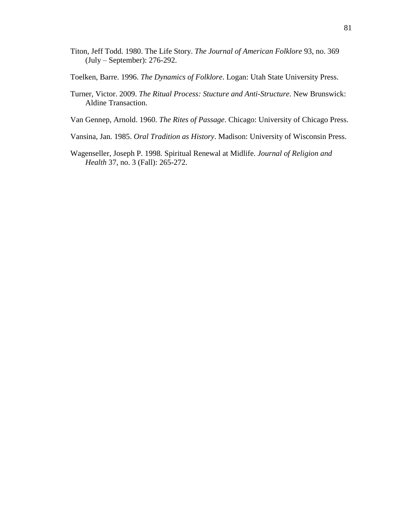- Titon, Jeff Todd. 1980. The Life Story. *The Journal of American Folklore* 93, no. 369 (July – September): 276-292.
- Toelken, Barre. 1996. *The Dynamics of Folklore*. Logan: Utah State University Press.
- Turner, Victor. 2009. *The Ritual Process: Stucture and Anti-Structure*. New Brunswick: Aldine Transaction.
- Van Gennep, Arnold. 1960. *The Rites of Passage*. Chicago: University of Chicago Press.
- Vansina, Jan. 1985. *Oral Tradition as History*. Madison: University of Wisconsin Press.
- Wagenseller, Joseph P. 1998. Spiritual Renewal at Midlife. *Journal of Religion and Health* 37, no. 3 (Fall): 265-272.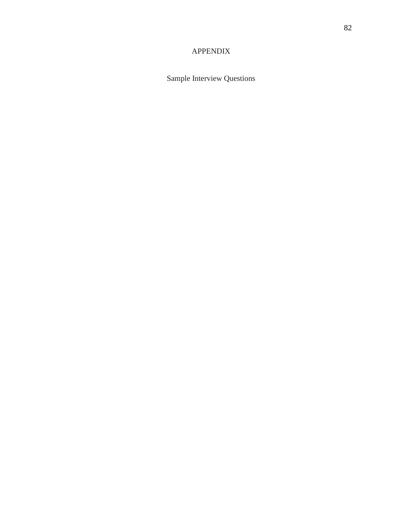# APPENDIX

Sample Interview Questions